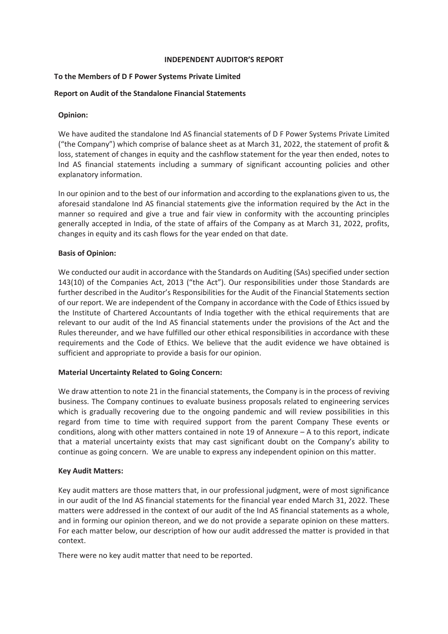# **INDEPENDENT AUDITOR'S REPORT**

# **To the Members of D F Power Systems Private Limited**

# **Report on Audit of the Standalone Financial Statements**

# **Opinion:**

We have audited the standalone Ind AS financial statements of D F Power Systems Private Limited ("the Company") which comprise of balance sheet as at March 31, 2022, the statement of profit & loss, statement of changes in equity and the cashflow statement for the year then ended, notes to Ind AS financial statements including a summary of significant accounting policies and other explanatory information.

In our opinion and to the best of our information and according to the explanations given to us, the aforesaid standalone Ind AS financial statements give the information required by the Act in the manner so required and give a true and fair view in conformity with the accounting principles generally accepted in India, of the state of affairs of the Company as at March 31, 2022, profits, changes in equity and its cash flows for the year ended on that date.

# **Basis of Opinion:**

We conducted our audit in accordance with the Standards on Auditing (SAs) specified under section 143(10) of the Companies Act, 2013 ("the Act"). Our responsibilities under those Standards are further described in the Auditor's Responsibilities for the Audit of the Financial Statements section of our report. We are independent of the Company in accordance with the Code of Ethics issued by the Institute of Chartered Accountants of India together with the ethical requirements that are relevant to our audit of the Ind AS financial statements under the provisions of the Act and the Rules thereunder, and we have fulfilled our other ethical responsibilities in accordance with these requirements and the Code of Ethics. We believe that the audit evidence we have obtained is sufficient and appropriate to provide a basis for our opinion.

# **Material Uncertainty Related to Going Concern:**

We draw attention to note 21 in the financial statements, the Company is in the process of reviving business. The Company continues to evaluate business proposals related to engineering services which is gradually recovering due to the ongoing pandemic and will review possibilities in this regard from time to time with required support from the parent Company These events or conditions, along with other matters contained in note 19 of Annexure – A to this report, indicate that a material uncertainty exists that may cast significant doubt on the Company's ability to continue as going concern. We are unable to express any independent opinion on this matter.

# **Key Audit Matters:**

Key audit matters are those matters that, in our professional judgment, were of most significance in our audit of the Ind AS financial statements for the financial year ended March 31, 2022. These matters were addressed in the context of our audit of the Ind AS financial statements as a whole, and in forming our opinion thereon, and we do not provide a separate opinion on these matters. For each matter below, our description of how our audit addressed the matter is provided in that context.

There were no key audit matter that need to be reported.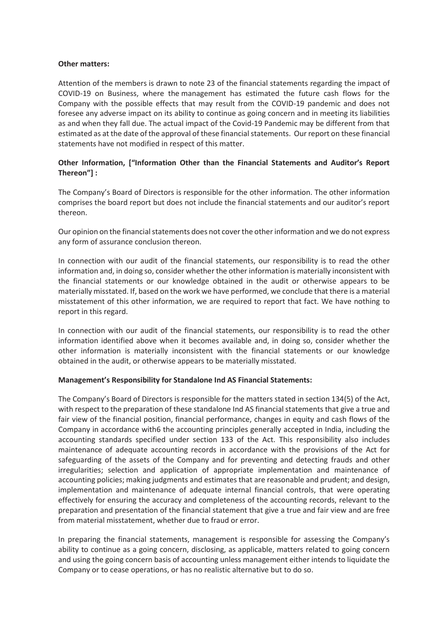# **Other matters:**

Attention of the members is drawn to note 23 of the financial statements regarding the impact of COVID-19 on Business, where the management has estimated the future cash flows for the Company with the possible effects that may result from the COVID-19 pandemic and does not foresee any adverse impact on its ability to continue as going concern and in meeting its liabilities as and when they fall due. The actual impact of the Covid-19 Pandemic may be different from that estimated as at the date of the approval of these financial statements. Our report on these financial statements have not modified in respect of this matter.

# **Other Information, ["Information Other than the Financial Statements and Auditor's Report Thereon"] :**

The Company's Board of Directors is responsible for the other information. The other information comprises the board report but does not include the financial statements and our auditor's report thereon.

Our opinion on the financial statements does not cover the other information and we do not express any form of assurance conclusion thereon.

In connection with our audit of the financial statements, our responsibility is to read the other information and, in doing so, consider whether the other information is materially inconsistent with the financial statements or our knowledge obtained in the audit or otherwise appears to be materially misstated. If, based on the work we have performed, we conclude that there is a material misstatement of this other information, we are required to report that fact. We have nothing to report in this regard.

In connection with our audit of the financial statements, our responsibility is to read the other information identified above when it becomes available and, in doing so, consider whether the other information is materially inconsistent with the financial statements or our knowledge obtained in the audit, or otherwise appears to be materially misstated.

# **Management's Responsibility for Standalone Ind AS Financial Statements:**

The Company's Board of Directors is responsible for the matters stated in section 134(5) of the Act, with respect to the preparation of these standalone Ind AS financial statements that give a true and fair view of the financial position, financial performance, changes in equity and cash flows of the Company in accordance with6 the accounting principles generally accepted in India, including the accounting standards specified under section 133 of the Act. This responsibility also includes maintenance of adequate accounting records in accordance with the provisions of the Act for safeguarding of the assets of the Company and for preventing and detecting frauds and other irregularities; selection and application of appropriate implementation and maintenance of accounting policies; making judgments and estimates that are reasonable and prudent; and design, implementation and maintenance of adequate internal financial controls, that were operating effectively for ensuring the accuracy and completeness of the accounting records, relevant to the preparation and presentation of the financial statement that give a true and fair view and are free from material misstatement, whether due to fraud or error.

In preparing the financial statements, management is responsible for assessing the Company's ability to continue as a going concern, disclosing, as applicable, matters related to going concern and using the going concern basis of accounting unless management either intends to liquidate the Company or to cease operations, or has no realistic alternative but to do so.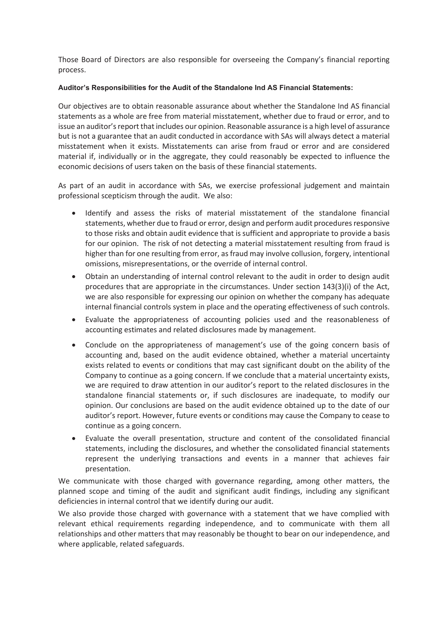Those Board of Directors are also responsible for overseeing the Company's financial reporting process.

# **Auditor's Responsibilities for the Audit of the Standalone Ind AS Financial Statements:**

Our objectives are to obtain reasonable assurance about whether the Standalone Ind AS financial statements as a whole are free from material misstatement, whether due to fraud or error, and to issue an auditor's report that includes our opinion. Reasonable assurance is a high level of assurance but is not a guarantee that an audit conducted in accordance with SAs will always detect a material misstatement when it exists. Misstatements can arise from fraud or error and are considered material if, individually or in the aggregate, they could reasonably be expected to influence the economic decisions of users taken on the basis of these financial statements.

As part of an audit in accordance with SAs, we exercise professional judgement and maintain professional scepticism through the audit. We also:

- · Identify and assess the risks of material misstatement of the standalone financial statements, whether due to fraud or error, design and perform audit procedures responsive to those risks and obtain audit evidence that is sufficient and appropriate to provide a basis for our opinion. The risk of not detecting a material misstatement resulting from fraud is higher than for one resulting from error, as fraud may involve collusion, forgery, intentional omissions, misrepresentations, or the override of internal control.
- · Obtain an understanding of internal control relevant to the audit in order to design audit procedures that are appropriate in the circumstances. Under section 143(3)(i) of the Act, we are also responsible for expressing our opinion on whether the company has adequate internal financial controls system in place and the operating effectiveness of such controls.
- · Evaluate the appropriateness of accounting policies used and the reasonableness of accounting estimates and related disclosures made by management.
- Conclude on the appropriateness of management's use of the going concern basis of accounting and, based on the audit evidence obtained, whether a material uncertainty exists related to events or conditions that may cast significant doubt on the ability of the Company to continue as a going concern. If we conclude that a material uncertainty exists, we are required to draw attention in our auditor's report to the related disclosures in the standalone financial statements or, if such disclosures are inadequate, to modify our opinion. Our conclusions are based on the audit evidence obtained up to the date of our auditor's report. However, future events or conditions may cause the Company to cease to continue as a going concern.
- Evaluate the overall presentation, structure and content of the consolidated financial statements, including the disclosures, and whether the consolidated financial statements represent the underlying transactions and events in a manner that achieves fair presentation.

We communicate with those charged with governance regarding, among other matters, the planned scope and timing of the audit and significant audit findings, including any significant deficiencies in internal control that we identify during our audit.

We also provide those charged with governance with a statement that we have complied with relevant ethical requirements regarding independence, and to communicate with them all relationships and other matters that may reasonably be thought to bear on our independence, and where applicable, related safeguards.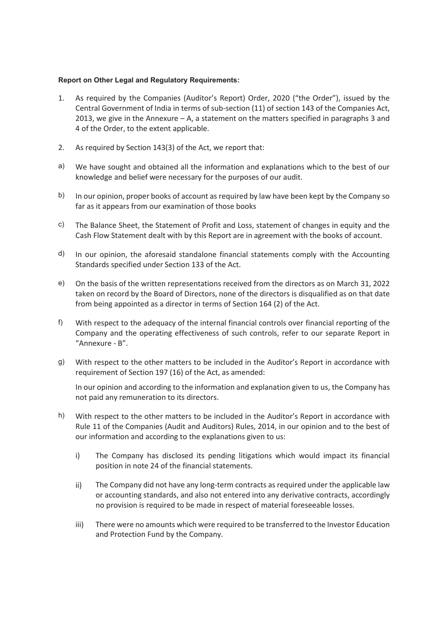# **Report on Other Legal and Regulatory Requirements:**

- 1. As required by the Companies (Auditor's Report) Order, 2020 ("the Order"), issued by the Central Government of India in terms of sub-section (11) of section 143 of the Companies Act, 2013, we give in the Annexure  $- A$ , a statement on the matters specified in paragraphs 3 and 4 of the Order, to the extent applicable.
- 2. As required by Section 143(3) of the Act, we report that:
- a) We have sought and obtained all the information and explanations which to the best of our knowledge and belief were necessary for the purposes of our audit.
- b) In our opinion, proper books of account as required by law have been kept by the Company so far as it appears from our examination of those books
- c) The Balance Sheet, the Statement of Profit and Loss, statement of changes in equity and the Cash Flow Statement dealt with by this Report are in agreement with the books of account.
- d) In our opinion, the aforesaid standalone financial statements comply with the Accounting Standards specified under Section 133 of the Act.
- e) On the basis of the written representations received from the directors as on March 31, 2022 taken on record by the Board of Directors, none of the directors is disqualified as on that date from being appointed as a director in terms of Section 164 (2) of the Act.
- f) With respect to the adequacy of the internal financial controls over financial reporting of the Company and the operating effectiveness of such controls, refer to our separate Report in "Annexure - B".
- g) With respect to the other matters to be included in the Auditor's Report in accordance with requirement of Section 197 (16) of the Act, as amended:

In our opinion and according to the information and explanation given to us, the Company has not paid any remuneration to its directors.

- h) With respect to the other matters to be included in the Auditor's Report in accordance with Rule 11 of the Companies (Audit and Auditors) Rules, 2014, in our opinion and to the best of our information and according to the explanations given to us:
	- i) The Company has disclosed its pending litigations which would impact its financial position in note 24 of the financial statements.
	- ii) The Company did not have any long-term contracts as required under the applicable law or accounting standards, and also not entered into any derivative contracts, accordingly no provision is required to be made in respect of material foreseeable losses.
	- iii) There were no amounts which were required to be transferred to the Investor Education and Protection Fund by the Company.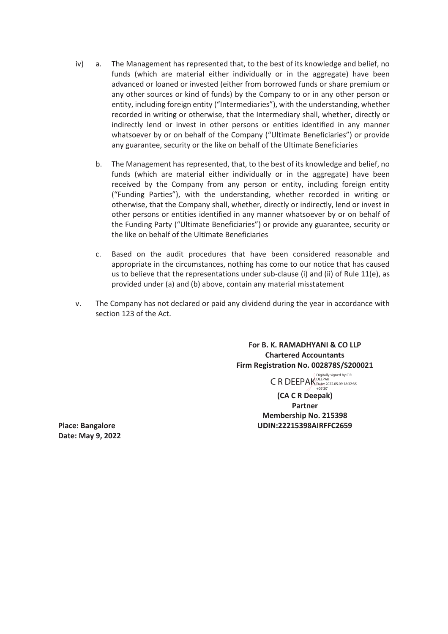- iv) a. The Management has represented that, to the best of its knowledge and belief, no funds (which are material either individually or in the aggregate) have been advanced or loaned or invested (either from borrowed funds or share premium or any other sources or kind of funds) by the Company to or in any other person or entity, including foreign entity ("Intermediaries"), with the understanding, whether recorded in writing or otherwise, that the Intermediary shall, whether, directly or indirectly lend or invest in other persons or entities identified in any manner whatsoever by or on behalf of the Company ("Ultimate Beneficiaries") or provide any guarantee, security or the like on behalf of the Ultimate Beneficiaries
	- b. The Management has represented, that, to the best of its knowledge and belief, no funds (which are material either individually or in the aggregate) have been received by the Company from any person or entity, including foreign entity ("Funding Parties"), with the understanding, whether recorded in writing or otherwise, that the Company shall, whether, directly or indirectly, lend or invest in other persons or entities identified in any manner whatsoever by or on behalf of the Funding Party ("Ultimate Beneficiaries") or provide any guarantee, security or the like on behalf of the Ultimate Beneficiaries
	- c. Based on the audit procedures that have been considered reasonable and appropriate in the circumstances, nothing has come to our notice that has caused us to believe that the representations under sub-clause (i) and (ii) of Rule 11(e), as provided under (a) and (b) above, contain any material misstatement
- v. The Company has not declared or paid any dividend during the year in accordance with section 123 of the Act.

**For B. K. RAMADHYANI & CO LLP Chartered Accountants Firm Registration No. 002878S/S200021** 

> C R DEEPAK Date: 2022.05.09 18:32:35 Digitally signed by C R

**(CA C R Deepak) Partner Membership No. 215398**  Place: Bangalore **Network: 2008 and 2008 CONTENTS UDIN:22215398AIRFFC2659** 

**Date: May 9, 2022**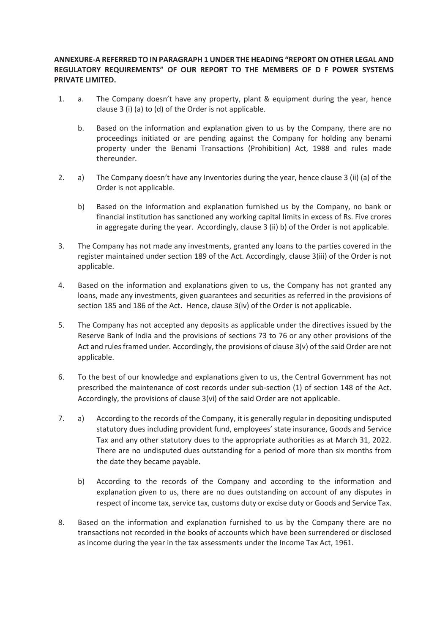# **ANNEXURE-A REFERRED TO IN PARAGRAPH 1 UNDER THE HEADING "REPORT ON OTHER LEGAL AND REGULATORY REQUIREMENTS" OF OUR REPORT TO THE MEMBERS OF D F POWER SYSTEMS PRIVATE LIMITED.**

- 1. a. The Company doesn't have any property, plant & equipment during the year, hence clause 3 (i) (a) to (d) of the Order is not applicable.
	- b. Based on the information and explanation given to us by the Company, there are no proceedings initiated or are pending against the Company for holding any benami property under the Benami Transactions (Prohibition) Act, 1988 and rules made thereunder.
- 2. a) The Company doesn't have any Inventories during the year, hence clause 3 (ii) (a) of the Order is not applicable.
	- b) Based on the information and explanation furnished us by the Company, no bank or financial institution has sanctioned any working capital limits in excess of Rs. Five crores in aggregate during the year. Accordingly, clause 3 (ii) b) of the Order is not applicable.
- 3. The Company has not made any investments, granted any loans to the parties covered in the register maintained under section 189 of the Act. Accordingly, clause 3(iii) of the Order is not applicable.
- 4. Based on the information and explanations given to us, the Company has not granted any loans, made any investments, given guarantees and securities as referred in the provisions of section 185 and 186 of the Act. Hence, clause 3(iv) of the Order is not applicable.
- 5. The Company has not accepted any deposits as applicable under the directives issued by the Reserve Bank of India and the provisions of sections 73 to 76 or any other provisions of the Act and rules framed under. Accordingly, the provisions of clause 3(v) of the said Order are not applicable.
- 6. To the best of our knowledge and explanations given to us, the Central Government has not prescribed the maintenance of cost records under sub-section (1) of section 148 of the Act. Accordingly, the provisions of clause 3(vi) of the said Order are not applicable.
- 7. a) According to the records of the Company, it is generally regular in depositing undisputed statutory dues including provident fund, employees' state insurance, Goods and Service Tax and any other statutory dues to the appropriate authorities as at March 31, 2022. There are no undisputed dues outstanding for a period of more than six months from the date they became payable.
	- b) According to the records of the Company and according to the information and explanation given to us, there are no dues outstanding on account of any disputes in respect of income tax, service tax, customs duty or excise duty or Goods and Service Tax.
- 8. Based on the information and explanation furnished to us by the Company there are no transactions not recorded in the books of accounts which have been surrendered or disclosed as income during the year in the tax assessments under the Income Tax Act, 1961.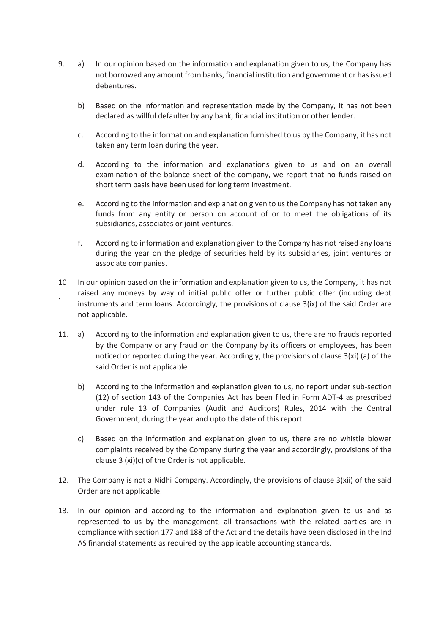- 9. a) In our opinion based on the information and explanation given to us, the Company has not borrowed any amount from banks, financial institution and government or has issued debentures.
	- b) Based on the information and representation made by the Company, it has not been declared as willful defaulter by any bank, financial institution or other lender.
	- c. According to the information and explanation furnished to us by the Company, it has not taken any term loan during the year.
	- d. According to the information and explanations given to us and on an overall examination of the balance sheet of the company, we report that no funds raised on short term basis have been used for long term investment.
	- e. According to the information and explanation given to us the Company has not taken any funds from any entity or person on account of or to meet the obligations of its subsidiaries, associates or joint ventures.
	- f. According to information and explanation given to the Company has not raised any loans during the year on the pledge of securities held by its subsidiaries, joint ventures or associate companies.
- 10 . In our opinion based on the information and explanation given to us, the Company, it has not raised any moneys by way of initial public offer or further public offer (including debt instruments and term loans. Accordingly, the provisions of clause 3(ix) of the said Order are not applicable.
- 11. a) According to the information and explanation given to us, there are no frauds reported by the Company or any fraud on the Company by its officers or employees, has been noticed or reported during the year. Accordingly, the provisions of clause 3(xi) (a) of the said Order is not applicable.
	- b) According to the information and explanation given to us, no report under sub-section (12) of section 143 of the Companies Act has been filed in Form ADT-4 as prescribed under rule 13 of Companies (Audit and Auditors) Rules, 2014 with the Central Government, during the year and upto the date of this report
	- c) Based on the information and explanation given to us, there are no whistle blower complaints received by the Company during the year and accordingly, provisions of the clause 3 (xi)(c) of the Order is not applicable.
- 12. The Company is not a Nidhi Company. Accordingly, the provisions of clause 3(xii) of the said Order are not applicable.
- 13. In our opinion and according to the information and explanation given to us and as represented to us by the management, all transactions with the related parties are in compliance with section 177 and 188 of the Act and the details have been disclosed in the Ind AS financial statements as required by the applicable accounting standards.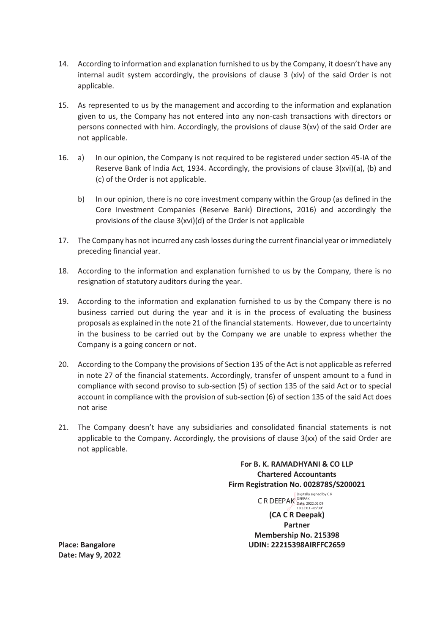- 14. According to information and explanation furnished to us by the Company, it doesn't have any internal audit system accordingly, the provisions of clause 3 (xiv) of the said Order is not applicable.
- 15. As represented to us by the management and according to the information and explanation given to us, the Company has not entered into any non-cash transactions with directors or persons connected with him. Accordingly, the provisions of clause 3(xv) of the said Order are not applicable.
- 16. a) In our opinion, the Company is not required to be registered under section 45-IA of the Reserve Bank of India Act, 1934. Accordingly, the provisions of clause 3(xvi)(a), (b) and (c) of the Order is not applicable.
	- b) In our opinion, there is no core investment company within the Group (as defined in the Core Investment Companies (Reserve Bank) Directions, 2016) and accordingly the provisions of the clause 3(xvi)(d) of the Order is not applicable
- 17. The Company has not incurred any cash losses during the current financial year or immediately preceding financial year.
- 18. According to the information and explanation furnished to us by the Company, there is no resignation of statutory auditors during the year.
- 19. According to the information and explanation furnished to us by the Company there is no business carried out during the year and it is in the process of evaluating the business proposals as explained in the note 21 of the financial statements. However, due to uncertainty in the business to be carried out by the Company we are unable to express whether the Company is a going concern or not.
- 20. According to the Company the provisions of Section 135 of the Act is not applicable as referred in note 27 of the financial statements. Accordingly, transfer of unspent amount to a fund in compliance with second proviso to sub-section (5) of section 135 of the said Act or to special account in compliance with the provision of sub-section (6) of section 135 of the said Act does not arise
- 21. The Company doesn't have any subsidiaries and consolidated financial statements is not applicable to the Company. Accordingly, the provisions of clause 3(xx) of the said Order are not applicable.

**For B. K. RAMADHYANI & CO LLP Chartered Accountants Firm Registration No. 002878S/S200021** 

 $\begin{array}{ll}\n\text{Differential} & \text{signed by CR} \\
\text{C R DEEPAK} & \text{Detex} \\
 & \text{Date: } 2022.05.09 \\
 & \text{18:33:03 + 05'30'}\n\end{array}$ 

**(CA C R Deepak) Partner Membership No. 215398 Place: Bangalore UDIN: 22215398AIRFFC2659** 

**Date: May 9, 2022**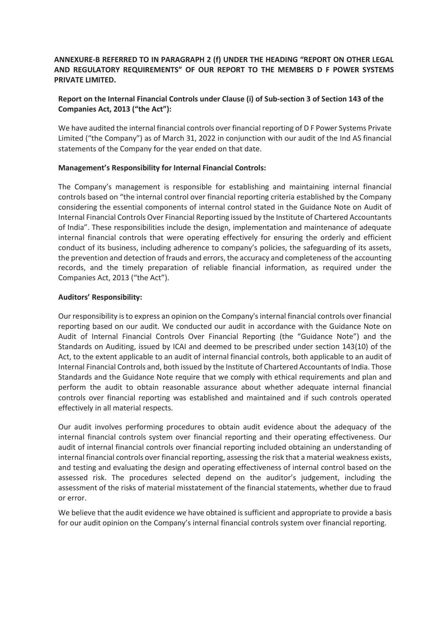# **ANNEXURE-B REFERRED TO IN PARAGRAPH 2 (f) UNDER THE HEADING "REPORT ON OTHER LEGAL AND REGULATORY REQUIREMENTS" OF OUR REPORT TO THE MEMBERS D F POWER SYSTEMS PRIVATE LIMITED.**

# **Report on the Internal Financial Controls under Clause (i) of Sub-section 3 of Section 143 of the Companies Act, 2013 ("the Act"):**

We have audited the internal financial controls over financial reporting of D F Power Systems Private Limited ("the Company") as of March 31, 2022 in conjunction with our audit of the Ind AS financial statements of the Company for the year ended on that date.

# **Management's Responsibility for Internal Financial Controls:**

The Company's management is responsible for establishing and maintaining internal financial controls based on "the internal control over financial reporting criteria established by the Company considering the essential components of internal control stated in the Guidance Note on Audit of Internal Financial Controls Over Financial Reporting issued by the Institute of Chartered Accountants of India". These responsibilities include the design, implementation and maintenance of adequate internal financial controls that were operating effectively for ensuring the orderly and efficient conduct of its business, including adherence to company's policies, the safeguarding of its assets, the prevention and detection of frauds and errors, the accuracy and completeness of the accounting records, and the timely preparation of reliable financial information, as required under the Companies Act, 2013 ("the Act").

# **Auditors' Responsibility:**

Our responsibility is to express an opinion on the Company's internal financial controls over financial reporting based on our audit. We conducted our audit in accordance with the Guidance Note on Audit of Internal Financial Controls Over Financial Reporting (the "Guidance Note") and the Standards on Auditing, issued by ICAI and deemed to be prescribed under section 143(10) of the Act, to the extent applicable to an audit of internal financial controls, both applicable to an audit of Internal Financial Controls and, both issued by the Institute of Chartered Accountants of India. Those Standards and the Guidance Note require that we comply with ethical requirements and plan and perform the audit to obtain reasonable assurance about whether adequate internal financial controls over financial reporting was established and maintained and if such controls operated effectively in all material respects.

Our audit involves performing procedures to obtain audit evidence about the adequacy of the internal financial controls system over financial reporting and their operating effectiveness. Our audit of internal financial controls over financial reporting included obtaining an understanding of internal financial controls over financial reporting, assessing the risk that a material weakness exists, and testing and evaluating the design and operating effectiveness of internal control based on the assessed risk. The procedures selected depend on the auditor's judgement, including the assessment of the risks of material misstatement of the financial statements, whether due to fraud or error.

We believe that the audit evidence we have obtained is sufficient and appropriate to provide a basis for our audit opinion on the Company's internal financial controls system over financial reporting.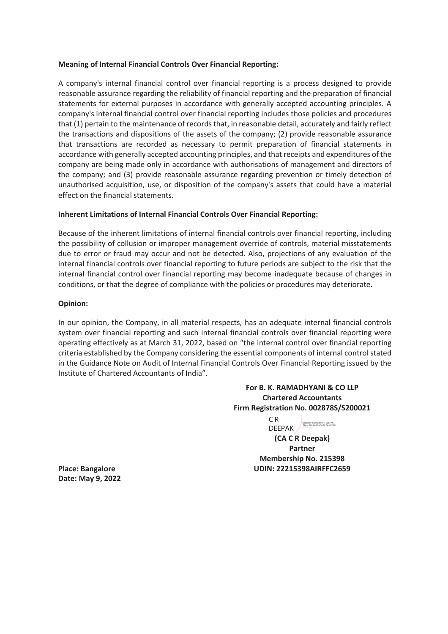# **Meaning of Internal Financial Controls Over Financial Reporting:**

A company's internal financial control over financial reporting is a process designed to provide reasonable assurance regarding the reliability of financial reporting and the preparation of financial statements for external purposes in accordance with generally accepted accounting principles. A company's internal financial control over financial reporting includes those policies and procedures that (1) pertain to the maintenance of records that, in reasonable detail, accurately and fairly reflect the transactions and dispositions of the assets of the company; (2) provide reasonable assurance that transactions are recorded as necessary to permit preparation of financial statements in accordance with generally accepted accounting principles, and that receipts and expenditures of the company are being made only in accordance with authorisations of management and directors of the company; and (3) provide reasonable assurance regarding prevention or timely detection of unauthorised acquisition, use, or disposition of the company's assets that could have a material effect on the financial statements.

# **Inherent Limitations of Internal Financial Controls Over Financial Reporting:**

Because of the inherent limitations of internal financial controls over financial reporting, including the possibility of collusion or improper management override of controls, material misstatements due to error or fraud may occur and not be detected. Also, projections of any evaluation of the internal financial controls over financial reporting to future periods are subject to the risk that the internal financial control over financial reporting may become inadequate because of changes in conditions, or that the degree of compliance with the policies or procedures may deteriorate.

# **Opinion:**

In our opinion, the Company, in all material respects, has an adequate internal financial controls system over financial reporting and such internal financial controls over financial reporting were operating effectively as at March 31, 2022, based on "the internal control over financial reporting criteria established by the Company considering the essential components of internal control stated in the Guidance Note on Audit of Internal Financial Controls Over Financial Reporting issued by the Institute of Chartered Accountants of India".

# **For B. K. RAMADHYANI & CO LLP Chartered Accountants Firm Registration No. 002878S/S200021**

C R DEEPAK **Digitally signed by CRDEEPAK** 

**(CA C R Deepak) Partner Membership No. 215398 Place: Bangalore UDIN: 22215398AIRFFC2659** 

**Date: May 9, 2022**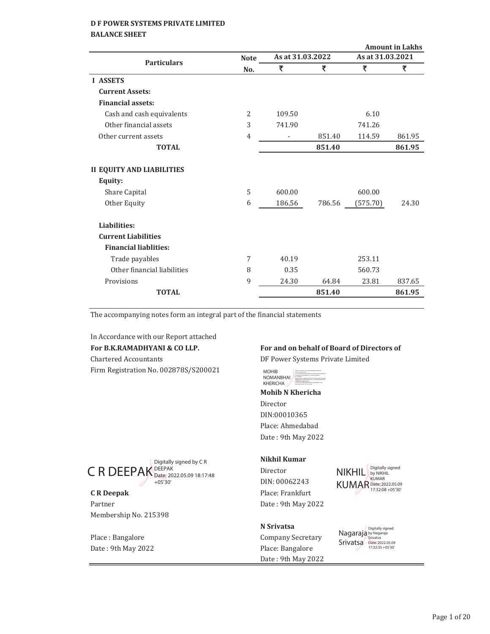# **BALANCE SHEET**

|                |        |        |                  | <b>Amount in Lakhs</b> |
|----------------|--------|--------|------------------|------------------------|
| <b>Note</b>    |        |        |                  |                        |
| No.            | ₹      | ₹      | ₹                | ₹                      |
|                |        |        |                  |                        |
|                |        |        |                  |                        |
|                |        |        |                  |                        |
| 2              | 109.50 |        | 6.10             |                        |
| 3              | 741.90 |        | 741.26           |                        |
| $\overline{4}$ |        | 851.40 | 114.59           | 861.95                 |
|                |        | 851.40 |                  | 861.95                 |
|                |        |        |                  |                        |
|                |        |        |                  |                        |
| 5              | 600.00 |        | 600.00           |                        |
| 6              | 186.56 | 786.56 | (575.70)         | 24.30                  |
|                |        |        |                  |                        |
|                |        |        |                  |                        |
|                |        |        |                  |                        |
| 7              | 40.19  |        | 253.11           |                        |
| 8              | 0.35   |        | 560.73           |                        |
| 9              | 24.30  | 64.84  | 23.81            | 837.65                 |
|                |        | 851.40 |                  | 861.95                 |
|                |        |        | As at 31.03.2022 | As at 31.03.2021       |

The accompanying notes form an integral part of the financial statements

In Accordance with our Report attached **For B.K.RAMADHYANI & CO LLP.** Chartered Accountants Firm Registration No. 002878S/S200021

# **For and on behalf of Board of Directors of**

DF Power Systems Private Limited



**Mohib N Khericha** Director DIN:00010365 Place: Ahmedabad Date: 9th May 2022

#### **Nikhil Kumar**

Director DIN: 00062243 **C R Deepak** Place: Frankfurt

# **N Srivatsa**

Place : Bangalore Company Secretary Date: 9th May 2022 Nagaraja **Srivatsa** Digitally signed by Nagaraja Srivatsa Date: 2022.05.09 17:32:35 +05'30'

NIKHIL By NIKHIL By NIKHIL KUMAR Date: 2022.05.09 17:32:08 +05'30'



Partner Date: 9th May 2022 Membership No. 215398

Date: 9th May 2022 Place: Bangalore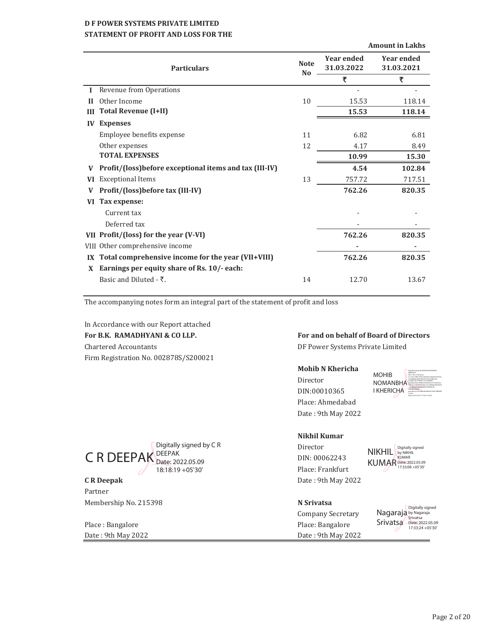# **D F POWER SYSTEMS PRIVATE LIMITED STATEMENT OF PROFIT AND LOSS FOR THE**

|                         |                                                        |                               | <b>Amount in Lakhs</b>          |                                 |  |
|-------------------------|--------------------------------------------------------|-------------------------------|---------------------------------|---------------------------------|--|
|                         | <b>Particulars</b>                                     | <b>Note</b><br>N <sub>0</sub> | <b>Year ended</b><br>31.03.2022 | <b>Year ended</b><br>31.03.2021 |  |
|                         |                                                        |                               | ₹                               | ₹                               |  |
|                         | Revenue from Operations                                |                               |                                 |                                 |  |
| Н                       | Other Income                                           | 10                            | 15.53                           | 118.14                          |  |
| Ш                       | <b>Total Revenue (I+II)</b>                            |                               | 15.53                           | 118.14                          |  |
| $\bf{IV}$               | <b>Expenses</b>                                        |                               |                                 |                                 |  |
|                         | Employee benefits expense                              | 11                            | 6.82                            | 6.81                            |  |
|                         | Other expenses                                         | 12                            | 4.17                            | 8.49                            |  |
|                         | <b>TOTAL EXPENSES</b>                                  |                               | 10.99                           | 15.30                           |  |
|                         | Profit/(loss)before exceptional items and tax (III-IV) |                               | 4.54                            | 102.84                          |  |
| <b>VI</b>               | <b>Exceptional Items</b>                               | 13                            | 757.72                          | 717.51                          |  |
|                         | Profit/(loss)before tax (III-IV)                       |                               | 762.26                          | 820.35                          |  |
| VI                      | Tax expense:                                           |                               |                                 |                                 |  |
|                         | Current tax                                            |                               |                                 |                                 |  |
|                         | Deferred tax                                           |                               |                                 |                                 |  |
|                         | VII Profit/(loss) for the year (V-VI)                  |                               | 762.26                          | 820.35                          |  |
|                         | VIII Other comprehensive income                        |                               |                                 |                                 |  |
| $\mathbf{I} \mathbf{X}$ | Total comprehensive income for the year (VII+VIII)     |                               | 762.26                          | 820.35                          |  |
| X                       | Earnings per equity share of Rs. 10/- each:            |                               |                                 |                                 |  |
|                         | Basic and Diluted - ₹.                                 | 14                            | 12.70                           | 13.67                           |  |
|                         |                                                        |                               |                                 |                                 |  |

The accompanying notes form an integral part of the statement of profit and loss

Digitally signed by C R

Date: 2022.05.09 18:18:19 +05'30'

In Accordance with our Report attached Chartered Accountants **Chartered Accountants DF Power Systems Private Limited** 

Firm Registration No. 002878S/S200021

# For B.K. RAMADHYANI & CO LLP. **For and on behalf of Board of Directors**

#### **Mohib N Khericha**

Director DIN:00010365 Place: Ahmedabad Date: 9th May 2022 MOHIB NOMANBHA I KHERICHA **Sam Mohib Noman Khericha Abdullator And The American American American American American American American American American American American American American American American American American American Amer** Digitally signed by MOHIB NOMANBHAI KHERICHA DN: c=IN, o=Personal, 2.5.4.20=7f851ef35a16e0f3fc2e4d3de936730a 3e4da842bc0b973d347b167014800c0d, postalCode=380007, st=GUJARAT, serialNumber=b986c35d4a3d192737e607ac2 97f1ba132dfc8646e44b13ec18580d549e7fb30 Date: 2022.05.09 17:18:25 +05'30'

# **Nikhil Kumar**

Director DIN: 00062243 Place: Frankfurt **C R Deepak** Date: 9th May 2022

NIKHIL KUMAR Digitally signed by NIKHIL KUMAR Date: 2022.05.09 17:33:06 +05'30'

Partner Membership!No.!215398 **N Srivatsa**

C R DEEPAK DEEPAK

Place : Bangalore **Place**: Bangalore Date: 9th May 2022 Date: 9th May 2022

Company Secretary

Nagaraja Srivatsa Digitally signed by Nagaraja<br>Srivatsa<br>Date: 2022.05.09 17:33:24 +05'30'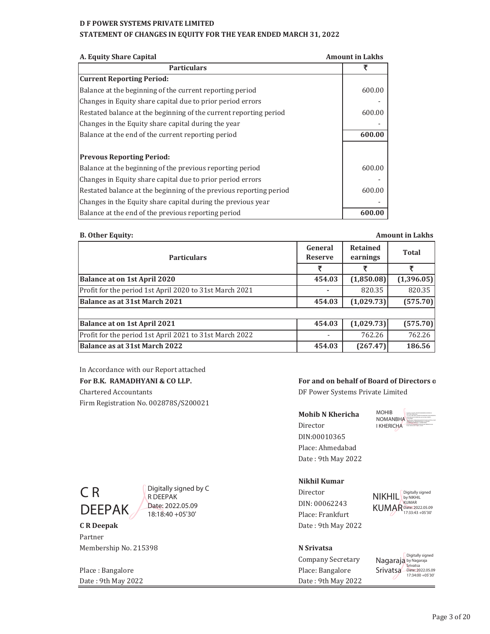#### **STATEMENT OF CHANGES IN EQUITY FOR THE YEAR ENDED MARCH 31, 2022**

| A. Equity Share Capital<br><b>Amount in Lakhs</b>                  |        |
|--------------------------------------------------------------------|--------|
| <b>Particulars</b>                                                 | ₹      |
| <b>Current Reporting Period:</b>                                   |        |
| Balance at the beginning of the current reporting period           | 600.00 |
| Changes in Equity share capital due to prior period errors         |        |
| Restated balance at the beginning of the current reporting period  | 600.00 |
| Changes in the Equity share capital during the year                |        |
| Balance at the end of the current reporting period                 | 600.00 |
|                                                                    |        |
| <b>Prevous Reporting Period:</b>                                   |        |
| Balance at the beginning of the previous reporting period          | 600.00 |
| Changes in Equity share capital due to prior period errors         |        |
| Restated balance at the beginning of the previous reporting period | 600.00 |
| Changes in the Equity share capital during the previous year       |        |
| Balance at the end of the previous reporting period                | 600.00 |

#### **B. Other Equity:**

**General Reserve Retained earnings Total** र | र | र **Balance at on 1st April 2020 (1,850.08) 454.03 (1,396.05)** Profit for the period 1st April 2020 to 31st March 2021 **-** 820.35 820.35 **Balance as at 31st March 2021 154.03 164.03 16.029.73 1575.70 Balance at on 1st April 2021 1,029.73 454.03 1,029.73 454.03 1,029.73 1** Profit for the period 1st April 2021 to 31st March 2022 | 2013 - | 762.26 | 762.26 **Balance as at 31st March 2022 186.56 186.56 186.56 186.56 186.56 186.56 Particulars Amount in Lakhs**

In Accordance with our Report attached Chartered Accountants **Chartered Accountants** DF Power Systems Private Limited Firm Registration No. 002878S/S200021

# For B.K. RAMADHYANI & CO LLP. **For and on behalf of Board of Directors of**

**Mohib N Khericha Director** DIN:00010365 Place: Ahmedabad Date: 9th May 2022 MOHIB NOMANBHA I KHERICHA 0b973d347b167014800c0d, postalCode=380007,



Digitally signed by C R DEEPAK Date: 2022.05.09 18:18:40 +05'30'

# Partner Membership!No.!215398 **N Srivatsa**

Place : Bangalore **Place** : Bangalore **Place** : Bangalore **Place** : Bangalore **Place** : Bangalore Date: 9th May 2022 Date: 9th May 2022

# **Nikhil Kumar** Director

DIN: 00062243 Place: Frankfurt **C R Deepak** Date: 9th May 2022 NIKHIL KUMAR Digitally signed by NIKHIL KUMAR Date: 2022.05.09 17:33:43 +05'30'

Company!Secretary

Nagaraja by Nagaraja Srivatsa Date: 2022.05.09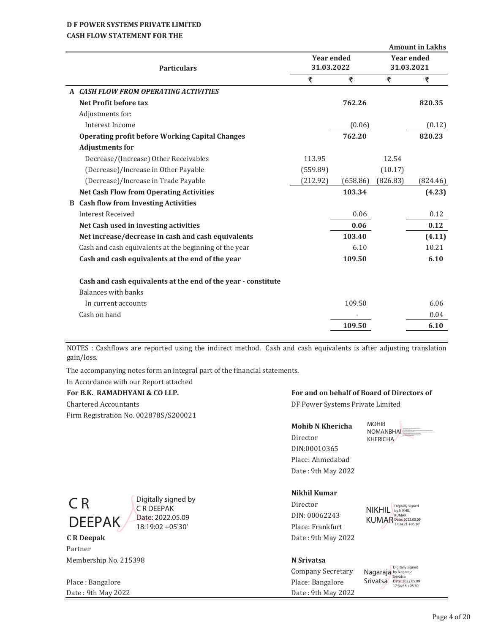# **CASH FLOW STATEMENT FOR THE**

|    |                                                               | <b>Amount in Lakhs</b>          |          |          |                   |
|----|---------------------------------------------------------------|---------------------------------|----------|----------|-------------------|
|    |                                                               | <b>Year ended</b><br>31.03.2022 |          |          | <b>Year ended</b> |
|    | <b>Particulars</b>                                            |                                 |          |          |                   |
|    |                                                               | ₹                               | ₹        | ₹        | ₹                 |
|    | A CASH FLOW FROM OPERATING ACTIVITIES                         |                                 |          |          |                   |
|    | Net Profit before tax                                         |                                 | 762.26   |          | 820.35            |
|    | Adjustments for:                                              |                                 |          |          |                   |
|    | Interest Income                                               |                                 | (0.06)   |          | (0.12)            |
|    | <b>Operating profit before Working Capital Changes</b>        |                                 | 762.20   |          | 820.23            |
|    | <b>Adjustments for</b>                                        |                                 |          |          |                   |
|    | Decrease/(Increase) Other Receivables                         | 113.95                          |          | 12.54    |                   |
|    | (Decrease)/Increase in Other Payable                          | (559.89)                        |          | (10.17)  |                   |
|    | (Decrease)/Increase in Trade Payable                          | (212.92)                        | (658.86) | (826.83) | (824.46)          |
|    | <b>Net Cash Flow from Operating Activities</b>                |                                 | 103.34   |          | (4.23)            |
| B. | <b>Cash flow from Investing Activities</b>                    |                                 |          |          |                   |
|    | <b>Interest Received</b>                                      |                                 | 0.06     |          | 0.12              |
|    | Net Cash used in investing activities                         |                                 | 0.06     |          | 0.12              |
|    | Net increase/decrease in cash and cash equivalents            |                                 | 103.40   |          | (4.11)            |
|    | Cash and cash equivalents at the beginning of the year        |                                 | 6.10     |          | 10.21             |
|    | Cash and cash equivalents at the end of the year              |                                 | 109.50   |          | 6.10              |
|    | Cash and cash equivalents at the end of the year - constitute |                                 |          |          |                   |
|    | Balances with banks                                           |                                 |          |          |                   |
|    | In current accounts                                           |                                 | 109.50   |          | 6.06              |
|    | Cash on hand                                                  |                                 |          |          | 0.04              |
|    |                                                               |                                 | 109.50   |          | 6.10              |
|    |                                                               |                                 |          |          |                   |

NOTES : Cashflows are reported using the indirect method. Cash and cash equivalents is after adjusting translation gain/loss.

The accompanying notes form an integral part of the financial statements.

# In Accordance with our Report attached

| гограм каралтар ган осо быт           |
|---------------------------------------|
| Chartered Accountants                 |
| Firm Registration No. 002878S/S200021 |

# For B.K. RAMADHYANI & CO LLP. **For and on behalf of Board of Directors of**

DF Power Systems Private Limited

### **Mohib N Khericha**

Director DIN:00010365 Place: Ahmedabad Date: 9th May 2022





Digitally signed by C R DEEPAK Date: 2022.05.09 18:19:02 +05'30'

**C R Deepak** Date: 9th May 2022 Partner Membership!No.!215398 **N Srivatsa**

Place : Bangalore **Place**: Bangalore Date: 9th May 2022 Date: 9th May 2022

# **Nikhil Kumar**

Director DIN: 00062243 Place: Frankfurt

NIKHIL By NIKHIL By NIKHIL KUMAR Date: 2022.05.09 17:34:21 +05'30'

Company Secretary

Nagaraja Srivatsa Digitally signed by Nagaraja Srivatsa Date: 2022.05.09 17:34:38 +05'30'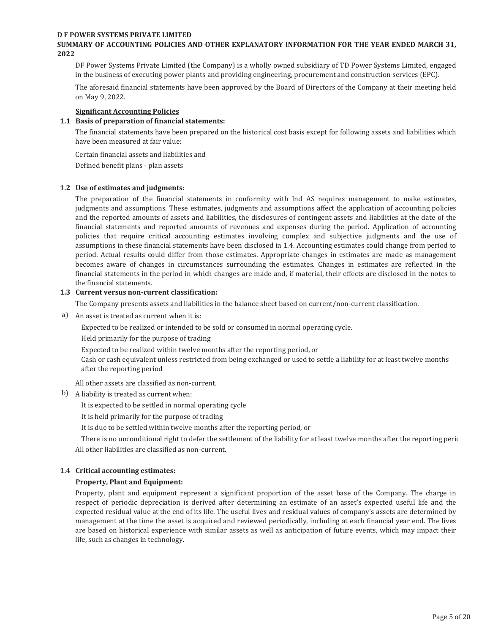#### **SUMMARY OF ACCOUNTING POLICIES AND OTHER EXPLANATORY INFORMATION FOR THE YEAR ENDED MARCH 31, 2022**

DF Power Systems Private Limited (the Company) is a wholly owned subsidiary of TD Power Systems Limited, engaged in the business of executing power plants and providing engineering, procurement and construction services (EPC).

The aforesaid financial statements have been approved by the Board of Directors of the Company at their meeting held on May 9, 2022.

#### **Significant Accounting Policies**

#### **1.1 Basis of preparation of financial statements:**

The financial statements have been prepared on the historical cost basis except for following assets and liabilities which have been measured at fair value:

Certain financial assets and liabilities and

Defined benefit plans - plan assets

#### **1.2 Use of estimates and judgments:**

The preparation of the financial statements in conformity with Ind AS requires management to make estimates, judgments and assumptions. These estimates, judgments and assumptions affect the application of accounting policies and the reported amounts of assets and liabilities, the disclosures of contingent assets and liabilities at the date of the financial statements and reported amounts of revenues and expenses during the period. Application of accounting policies that require critical accounting estimates involving complex and subjective judgments and the use of assumptions in these financial statements have been disclosed in 1.4. Accounting estimates could change from period to period. Actual results could differ from those estimates. Appropriate changes in estimates are made as management becomes aware of changes in circumstances surrounding the estimates. Changes in estimates are reflected in the financial statements in the period in which changes are made and, if material, their effects are disclosed in the notes to the financial statements.

#### **1.3 Current versus non-current classification:**

The Company presents assets and liabilities in the balance sheet based on current/non-current classification.

a) An asset is treated as current when it is:

Expected to be realized or intended to be sold or consumed in normal operating cycle.

Held primarily for the purpose of trading

Expected to be realized within twelve months after the reporting period, or

Cash or cash equivalent unless restricted from being exchanged or used to settle a liability for at least twelve months after the reporting period

All other assets are classified as non-current.

b) A liability is treated as current when:

It is expected to be settled in normal operating cycle

It is held primarily for the purpose of trading

It is due to be settled within twelve months after the reporting period, or

There is no unconditional right to defer the settlement of the liability for at least twelve months after the reporting period All other liabilities are classified as non-current.

#### **1.4 Critical accounting estimates:**

#### **Property, Plant and Equipment:**

Property, plant and equipment represent a significant proportion of the asset base of the Company. The charge in respect of periodic depreciation is derived after determining an estimate of an asset's expected useful life and the expected residual value at the end of its life. The useful lives and residual values of company's assets are determined by management at the time the asset is acquired and reviewed periodically, including at each financial year end. The lives are based on historical experience with similar assets as well as anticipation of future events, which may impact their life, such as changes in technology.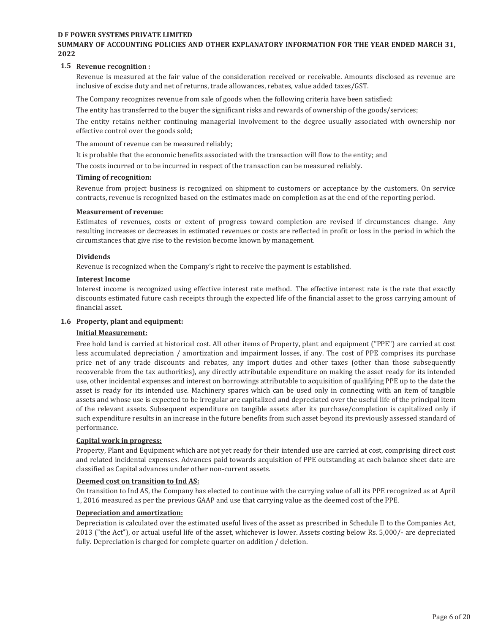#### **SUMMARY OF ACCOUNTING POLICIES AND OTHER EXPLANATORY INFORMATION FOR THE YEAR ENDED MARCH 31, 2022**

#### **1.5 Revenue recognition :**

Revenue is measured at the fair value of the consideration received or receivable. Amounts disclosed as revenue are inclusive of excise duty and net of returns, trade allowances, rebates, value added taxes/GST.

The Company recognizes revenue from sale of goods when the following criteria have been satisfied:

The entity has transferred to the buyer the significant risks and rewards of ownership of the goods/services;

The entity retains neither continuing managerial involvement to the degree usually associated with ownership nor effective control over the goods sold;

The amount of revenue can be measured reliably;

It is probable that the economic benefits associated with the transaction will flow to the entity; and

The costs incurred or to be incurred in respect of the transaction can be measured reliably.

#### **Timing of recognition:**

Revenue from project business is recognized on shipment to customers or acceptance by the customers. On service contracts, revenue is recognized based on the estimates made on completion as at the end of the reporting period.

#### **Measurement of revenue:**

Estimates of revenues, costs or extent of progress toward completion are revised if circumstances change. Any resulting increases or decreases in estimated revenues or costs are reflected in profit or loss in the period in which the circumstances that give rise to the revision become known by management.

#### **Dividends**

Revenue is recognized when the Company's right to receive the payment is established.

#### **Interest Income**

Interest income is recognized using effective interest rate method. The effective interest rate is the rate that exactly discounts estimated future cash receipts through the expected life of the financial asset to the gross carrying amount of financial asset.

#### **1.6 Property, plant and equipment:**

#### **Initial Measurement:**

Free hold land is carried at historical cost. All other items of Property, plant and equipment ("PPE") are carried at cost less accumulated depreciation / amortization and impairment losses, if any. The cost of PPE comprises its purchase price net of any trade discounts and rebates, any import duties and other taxes (other than those subsequently recoverable from the tax authorities), any directly attributable expenditure on making the asset ready for its intended use, other incidental expenses and interest on borrowings attributable to acquisition of qualifying PPE up to the date the asset is ready for its intended use. Machinery spares which can be used only in connecting with an item of tangible assets and whose use is expected to be irregular are capitalized and depreciated over the useful life of the principal item of the relevant assets. Subsequent expenditure on tangible assets after its purchase/completion is capitalized only if such expenditure results in an increase in the future benefits from such asset beyond its previously assessed standard of performance.

#### **Capital work in progress:**

Property, Plant and Equipment which are not yet ready for their intended use are carried at cost, comprising direct cost and related incidental expenses. Advances paid towards acquisition of PPE outstanding at each balance sheet date are classified as Capital advances under other non-current assets.

#### **Deemed cost on transition to Ind AS:**

On transition to Ind AS, the Company has elected to continue with the carrying value of all its PPE recognized as at April 1, 2016 measured as per the previous GAAP and use that carrying value as the deemed cost of the PPE.

#### **Depreciation and amortization:**

Depreciation is calculated over the estimated useful lives of the asset as prescribed in Schedule II to the Companies Act, 2013 ("the Act"), or actual useful life of the asset, whichever is lower. Assets costing below Rs. 5,000/- are depreciated fully. Depreciation is charged for complete quarter on addition / deletion.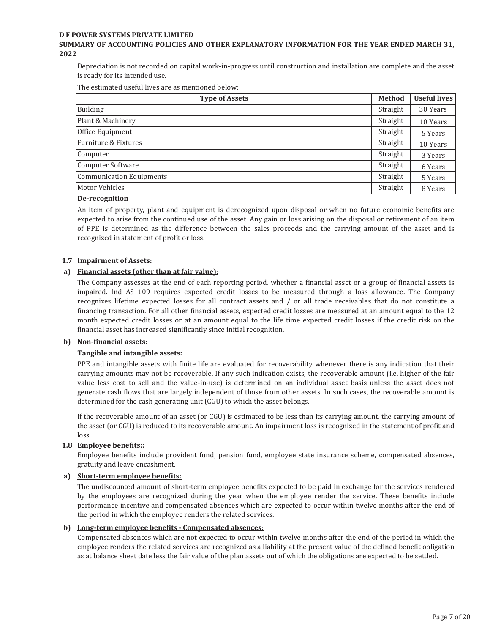#### **SUMMARY OF ACCOUNTING POLICIES AND OTHER EXPLANATORY INFORMATION FOR THE YEAR ENDED MARCH 31, 2022**

Depreciation is not recorded on capital work-in-progress until construction and installation are complete and the asset is ready for its intended use.

The estimated useful lives are as mentioned below:

| <b>Type of Assets</b>    | <b>Method</b> | <b>Useful lives</b> |
|--------------------------|---------------|---------------------|
| Building                 | Straight      | 30 Years            |
| Plant & Machinery        | Straight      | 10 Years            |
| Office Equipment         | Straight      | 5 Years             |
| Furniture & Fixtures     | Straight      | 10 Years            |
| Computer                 | Straight      | 3 Years             |
| Computer Software        | Straight      | 6 Years             |
| Communication Equipments | Straight      | 5 Years             |
| Motor Vehicles           | Straight      | 8 Years             |
| De-recognition           |               |                     |

#### **De-recognition**

An item of property, plant and equipment is derecognized upon disposal or when no future economic benefits are expected to arise from the continued use of the asset. Any gain or loss arising on the disposal or retirement of an item of PPE is determined as the difference between the sales proceeds and the carrying amount of the asset and is recognized in statement of profit or loss.

#### **1.7 Impairment of Assets:**

#### **a) Financial assets (other than at fair value):**

The Company assesses at the end of each reporting period, whether a financial asset or a group of financial assets is impaired. Ind AS 109 requires expected credit losses to be measured through a loss allowance. The Company recognizes lifetime expected losses for all contract assets and / or all trade receivables that do not constitute a financing transaction. For all other financial assets, expected credit losses are measured at an amount equal to the 12 month expected credit losses or at an amount equal to the life time expected credit losses if the credit risk on the financial asset has increased significantly since initial recognition.

#### **b) Non-financial assets:**

#### **Tangible and intangible assets:**

PPE and intangible assets with finite life are evaluated for recoverability whenever there is any indication that their carrying amounts may not be recoverable. If any such indication exists, the recoverable amount (i.e. higher of the fair value less cost to sell and the value-in-use) is determined on an individual asset basis unless the asset does not generate cash flows that are largely independent of those from other assets. In such cases, the recoverable amount is determined for the cash generating unit (CGU) to which the asset belongs.

If the recoverable amount of an asset (or CGU) is estimated to be less than its carrying amount, the carrying amount of the asset (or CGU) is reduced to its recoverable amount. An impairment loss is recognized in the statement of profit and loss.

#### **1.8 Employee benefits::**

Employee benefits include provident fund, pension fund, employee state insurance scheme, compensated absences, gratuity and leave encashment.

#### **a) Short-term employee benefits:**

The undiscounted amount of short-term employee benefits expected to be paid in exchange for the services rendered by the employees are recognized during the year when the employee render the service. These benefits include performance incentive and compensated absences which are expected to occur within twelve months after the end of the period in which the employee renders the related services.

#### **b) Long-term employee benefits - Compensated absences:**

Compensated absences which are not expected to occur within twelve months after the end of the period in which the employee renders the related services are recognized as a liability at the present value of the defined benefit obligation as at balance sheet date less the fair value of the plan assets out of which the obligations are expected to be settled.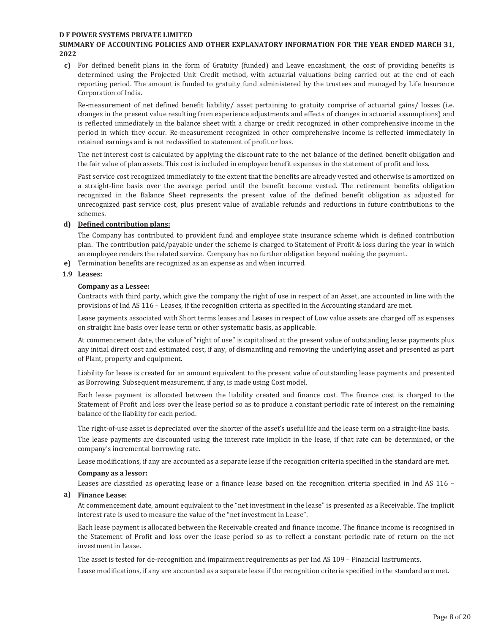#### **SUMMARY OF ACCOUNTING POLICIES AND OTHER EXPLANATORY INFORMATION FOR THE YEAR ENDED MARCH 31, 2022**

**c)** For defined benefit plans in the form of Gratuity (funded) and Leave encashment, the cost of providing benefits is determined using the Projected Unit Credit method, with actuarial valuations being carried out at the end of each reporting period. The amount is funded to gratuity fund administered by the trustees and managed by Life Insurance Corporation of India.

Re-measurement of net defined benefit liability/ asset pertaining to gratuity comprise of actuarial gains/ losses (i.e. changes in the present value resulting from experience adjustments and effects of changes in actuarial assumptions) and is reflected immediately in the balance sheet with a charge or credit recognized in other comprehensive income in the period in which they occur. Re-measurement recognized in other comprehensive income is reflected immediately in retained earnings and is not reclassified to statement of profit or loss.

The net interest cost is calculated by applying the discount rate to the net balance of the defined benefit obligation and the fair value of plan assets. This cost is included in employee benefit expenses in the statement of profit and loss.

Past service cost recognized immediately to the extent that the benefits are already vested and otherwise is amortized on a straight-line basis over the average period until the benefit become vested. The retirement benefits obligation recognized in the Balance Sheet represents the present value of the defined benefit obligation as adjusted for unrecognized past service cost, plus present value of available refunds and reductions in future contributions to the schemes.

#### **d) Defined contribution plans:**

The Company has contributed to provident fund and employee state insurance scheme which is defined contribution plan. The contribution paid/payable under the scheme is charged to Statement of Profit & loss during the year in which an employee renders the related service. Company has no further obligation beyond making the payment.

**e)** Termination benefits are recognized as an expense as and when incurred.

#### **1.9 Leases:**

#### **Company as a Lessee:**

Contracts with third party, which give the company the right of use in respect of an Asset, are accounted in line with the provisions of Ind AS 116 - Leases, if the recognition criteria as specified in the Accounting standard are met.

Lease payments associated with Short terms leases and Leases in respect of Low value assets are charged off as expenses on straight line basis over lease term or other systematic basis, as applicable.

At commencement date, the value of "right of use" is capitalised at the present value of outstanding lease payments plus any initial direct cost and estimated cost, if any, of dismantling and removing the underlying asset and presented as part of Plant, property and equipment.

Liability for lease is created for an amount equivalent to the present value of outstanding lease payments and presented as Borrowing. Subsequent measurement, if any, is made using Cost model.

Each lease payment is allocated between the liability created and finance cost. The finance cost is charged to the Statement of Profit and loss over the lease period so as to produce a constant periodic rate of interest on the remaining balance of the liability for each period.

The right-of-use asset is depreciated over the shorter of the asset's useful life and the lease term on a straight-line basis.

The lease payments are discounted using the interest rate implicit in the lease, if that rate can be determined, or the company's incremental borrowing rate.

Lease modifications, if any are accounted as a separate lease if the recognition criteria specified in the standard are met.

#### **Company as a lessor:**

Leases are classified as operating lease or a finance lease based on the recognition criteria specified in Ind AS 116 -

#### **a**) Finance Lease:

At commencement date, amount equivalent to the "net investment in the lease" is presented as a Receivable. The implicit interest rate is used to measure the value of the "net investment in Lease".

Each lease payment is allocated between the Receivable created and finance income. The finance income is recognised in the Statement of Profit and loss over the lease period so as to reflect a constant periodic rate of return on the net investment in Lease.

The asset is tested for de-recognition and impairment requirements as per Ind AS 109 - Financial Instruments.

Lease modifications, if any are accounted as a separate lease if the recognition criteria specified in the standard are met.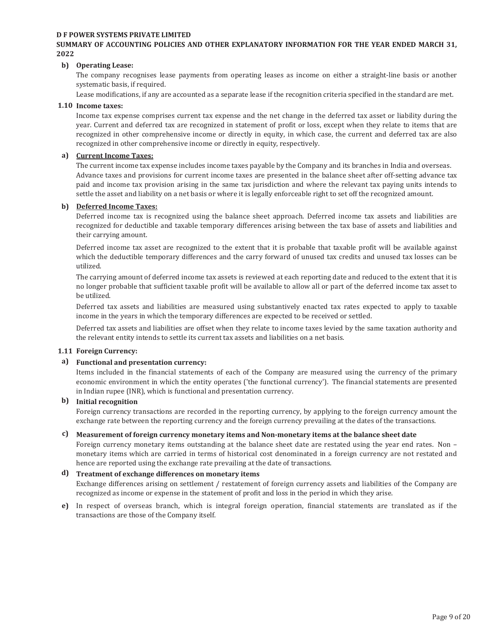#### **SUMMARY OF ACCOUNTING POLICIES AND OTHER EXPLANATORY INFORMATION FOR THE YEAR ENDED MARCH 31, 2022**

#### **b) Operating Lease:**

The company recognises lease payments from operating leases as income on either a straight-line basis or another systematic basis, if required.

Lease modifications, if any are accounted as a separate lease if the recognition criteria specified in the standard are met.

#### **1.10 Income taxes:**

Income tax expense comprises current tax expense and the net change in the deferred tax asset or liability during the year. Current and deferred tax are recognized in statement of profit or loss, except when they relate to items that are recognized in other comprehensive income or directly in equity, in which case, the current and deferred tax are also recognized in other comprehensive income or directly in equity, respectively.

#### **a) Current Income Taxes:**

The current income tax expense includes income taxes payable by the Company and its branches in India and overseas. Advance taxes and provisions for current income taxes are presented in the balance sheet after off-setting advance tax paid and income tax provision arising in the same tax jurisdiction and where the relevant tax paying units intends to settle the asset and liability on a net basis or where it is legally enforceable right to set off the recognized amount.

#### **b) Deferred Income Taxes:**

Deferred income tax is recognized using the balance sheet approach. Deferred income tax assets and liabilities are recognized for deductible and taxable temporary differences arising between the tax base of assets and liabilities and their carrying amount.

Deferred income tax asset are recognized to the extent that it is probable that taxable profit will be available against which the deductible temporary differences and the carry forward of unused tax credits and unused tax losses can be utilized.

The carrying amount of deferred income tax assets is reviewed at each reporting date and reduced to the extent that it is no longer probable that sufficient taxable profit will be available to allow all or part of the deferred income tax asset to be utilized.

Deferred tax assets and liabilities are measured using substantively enacted tax rates expected to apply to taxable income in the years in which the temporary differences are expected to be received or settled.

Deferred tax assets and liabilities are offset when they relate to income taxes levied by the same taxation authority and the relevant entity intends to settle its current tax assets and liabilities on a net basis.

#### **1.11 Foreign Currency:**

#### **a) Functional and presentation currency:**

Items included in the financial statements of each of the Company are measured using the currency of the primary economic environment in which the entity operates ('the functional currency'). The financial statements are presented in Indian rupee (INR), which is functional and presentation currency.

#### **b) Initial recognition**

Foreign currency transactions are recorded in the reporting currency, by applying to the foreign currency amount the exchange rate between the reporting currency and the foreign currency prevailing at the dates of the transactions.

# **c) Measurement of foreign currency monetary items and Non-monetary items at the balance sheet date**

Foreign currency monetary items outstanding at the balance sheet date are restated using the year end rates. Non monetary items which are carried in terms of historical cost denominated in a foreign currency are not restated and hence are reported using the exchange rate prevailing at the date of transactions.

#### **d) Treatment of exchange differences on monetary items**

Exchange differences arising on settlement / restatement of foreign currency assets and liabilities of the Company are recognized as income or expense in the statement of profit and loss in the period in which they arise.

**e)** In respect of overseas branch, which is integral foreign operation, financial statements are translated as if the transactions are those of the Company itself.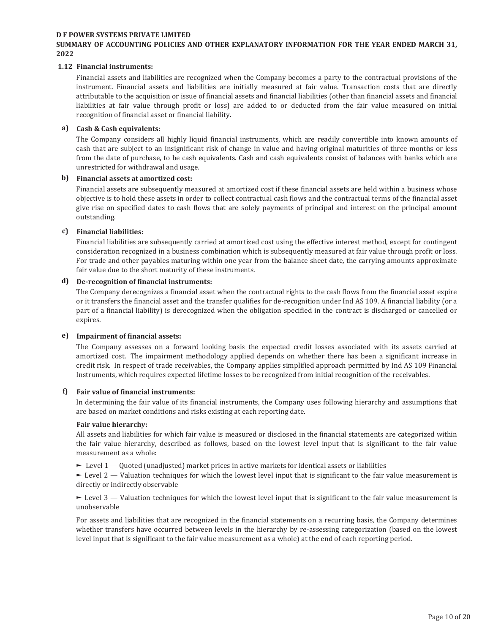#### **SUMMARY OF ACCOUNTING POLICIES AND OTHER EXPLANATORY INFORMATION FOR THE YEAR ENDED MARCH 31, 2022**

#### **1.12 Financial instruments:**

Financial assets and liabilities are recognized when the Company becomes a party to the contractual provisions of the instrument. Financial assets and liabilities are initially measured at fair value. Transaction costs that are directly attributable to the acquisition or issue of financial assets and financial liabilities (other than financial assets and financial liabilities at fair value through profit or loss) are added to or deducted from the fair value measured on initial recognition of financial asset or financial liability.

#### **a) Cash & Cash equivalents:**

The Company considers all highly liquid financial instruments, which are readily convertible into known amounts of cash that are subject to an insignificant risk of change in value and having original maturities of three months or less from the date of purchase, to be cash equivalents. Cash and cash equivalents consist of balances with banks which are unrestricted for withdrawal and usage.

#### **b) Financial assets at amortized cost:**

Financial assets are subsequently measured at amortized cost if these financial assets are held within a business whose objective is to hold these assets in order to collect contractual cash flows and the contractual terms of the financial asset give rise on specified dates to cash flows that are solely payments of principal and interest on the principal amount outstanding.

#### **c) Financial liabilities:**

Financial liabilities are subsequently carried at amortized cost using the effective interest method, except for contingent consideration recognized in a business combination which is subsequently measured at fair value through profit or loss. For trade and other payables maturing within one year from the balance sheet date, the carrying amounts approximate fair value due to the short maturity of these instruments.

#### **d) De-recognition of financial instruments:**

The Company derecognizes a financial asset when the contractual rights to the cash flows from the financial asset expire or it transfers the financial asset and the transfer qualifies for de-recognition under Ind AS 109. A financial liability (or a part of a financial liability) is derecognized when the obligation specified in the contract is discharged or cancelled or expires.

#### **e) Impairment of financial assets:**

The Company assesses on a forward looking basis the expected credit losses associated with its assets carried at amortized cost. The impairment methodology applied depends on whether there has been a significant increase in credit risk. In respect of trade receivables, the Company applies simplified approach permitted by Ind AS 109 Financial Instruments, which requires expected lifetime losses to be recognized from initial recognition of the receivables.

#### **f) Fair value of financial instruments:**

In determining the fair value of its financial instruments, the Company uses following hierarchy and assumptions that are based on market conditions and risks existing at each reporting date.

#### **Fair value hierarchy:**

All assets and liabilities for which fair value is measured or disclosed in the financial statements are categorized within the fair value hierarchy, described as follows, based on the lowest level input that is significant to the fair value measurement as a whole:

 $\blacktriangleright$  Level 1  $\blacktriangle$  Quoted (unadjusted) market prices in active markets for identical assets or liabilities

 $\blacktriangleright$  Level 2 – Valuation techniques for which the lowest level input that is significant to the fair value measurement is directly or indirectly observable

 $\blacktriangleright$  Level 3 – Valuation techniques for which the lowest level input that is significant to the fair value measurement is unobservable

For assets and liabilities that are recognized in the financial statements on a recurring basis, the Company determines whether transfers have occurred between levels in the hierarchy by re-assessing categorization (based on the lowest level input that is significant to the fair value measurement as a whole) at the end of each reporting period.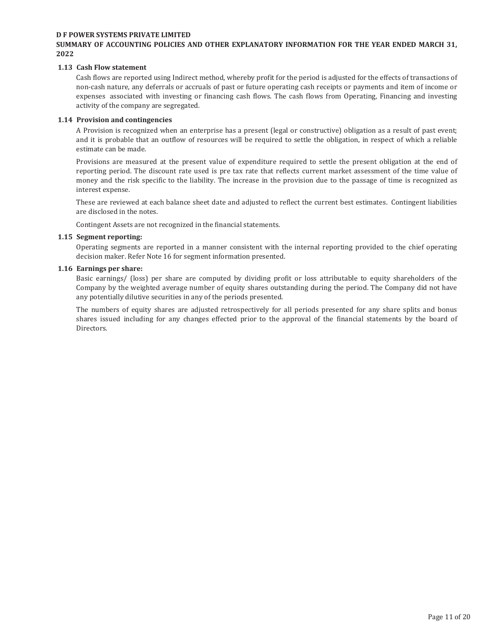#### **SUMMARY OF ACCOUNTING POLICIES AND OTHER EXPLANATORY INFORMATION FOR THE YEAR ENDED MARCH 31, 2022**

#### **1.13 Cash Flow statement**

Cash flows are reported using Indirect method, whereby profit for the period is adjusted for the effects of transactions of non-cash nature, any deferrals or accruals of past or future operating cash receipts or payments and item of income or expenses associated with investing or financing cash flows. The cash flows from Operating, Financing and investing activity of the company are segregated.

#### **1.14 Provision and contingencies**

A Provision is recognized when an enterprise has a present (legal or constructive) obligation as a result of past event; and it is probable that an outflow of resources will be required to settle the obligation, in respect of which a reliable estimate can be made.

Provisions are measured at the present value of expenditure required to settle the present obligation at the end of reporting period. The discount rate used is pre tax rate that reflects current market assessment of the time value of money and the risk specific to the liability. The increase in the provision due to the passage of time is recognized as interest expense.

These are reviewed at each balance sheet date and adjusted to reflect the current best estimates. Contingent liabilities are disclosed in the notes.

Contingent Assets are not recognized in the financial statements.

#### **1.15 Segment reporting:**

Operating segments are reported in a manner consistent with the internal reporting provided to the chief operating decision maker. Refer Note 16 for segment information presented.

#### **1.16 Earnings per share:**

Basic earnings/ (loss) per share are computed by dividing profit or loss attributable to equity shareholders of the Company by the weighted average number of equity shares outstanding during the period. The Company did not have any potentially dilutive securities in any of the periods presented.

The numbers of equity shares are adjusted retrospectively for all periods presented for any share splits and bonus shares issued including for any changes effected prior to the approval of the financial statements by the board of Directors.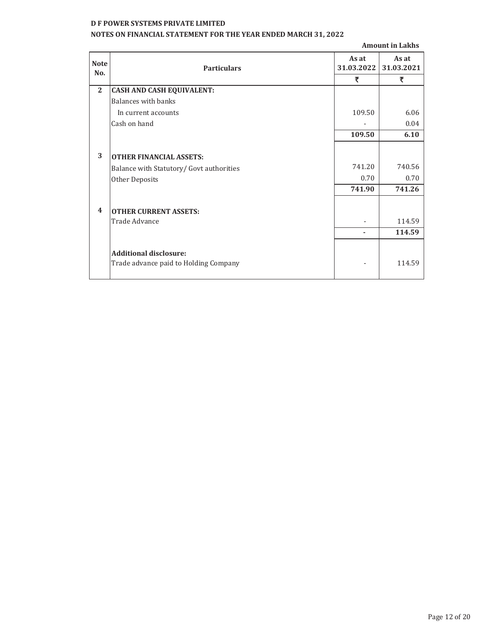# **NOTES ON FINANCIAL STATEMENT FOR THE YEAR ENDED MARCH 31, 2022**

**Amount in Lakhs**

| <b>Note</b><br>No.      | <b>Particulars</b>                       | As at<br>31.03.2022 | As at<br>31.03.2021 |
|-------------------------|------------------------------------------|---------------------|---------------------|
|                         |                                          | ₹                   | ₹                   |
| $\overline{2}$          | <b>CASH AND CASH EQUIVALENT:</b>         |                     |                     |
|                         | <b>Balances with banks</b>               |                     |                     |
|                         | In current accounts                      | 109.50              | 6.06                |
|                         | Cash on hand                             |                     | 0.04                |
|                         |                                          | 109.50              | 6.10                |
|                         |                                          |                     |                     |
| 3                       | <b>OTHER FINANCIAL ASSETS:</b>           |                     |                     |
|                         | Balance with Statutory/ Govt authorities | 741.20              | 740.56              |
|                         | <b>Other Deposits</b>                    | 0.70                | 0.70                |
|                         |                                          | 741.90              | 741.26              |
| $\overline{\mathbf{4}}$ |                                          |                     |                     |
|                         | <b>OTHER CURRENT ASSETS:</b>             |                     |                     |
|                         | Trade Advance                            |                     | 114.59              |
|                         |                                          |                     | 114.59              |
|                         |                                          |                     |                     |
|                         | <b>Additional disclosure:</b>            |                     |                     |
|                         | Trade advance paid to Holding Company    |                     | 114.59              |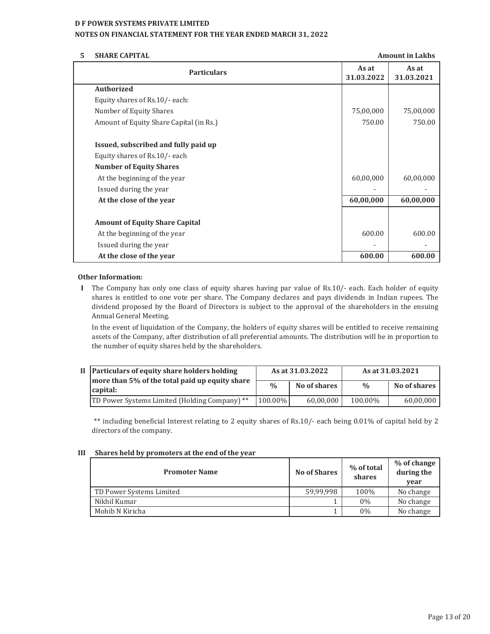#### **NOTES ON FINANCIAL STATEMENT FOR THE YEAR ENDED MARCH 31, 2022**

#### **5 SHARE CAPITAL**

| <b>SHARE CAPITAL</b>                    | <b>Amount in Lakhs</b> |                     |
|-----------------------------------------|------------------------|---------------------|
| <b>Particulars</b>                      | As at<br>31.03.2022    | As at<br>31.03.2021 |
| <b>Authorized</b>                       |                        |                     |
| Equity shares of Rs.10/- each:          |                        |                     |
| Number of Equity Shares                 | 75,00,000              | 75,00,000           |
| Amount of Equity Share Capital (in Rs.) | 750.00                 | 750.00              |
| Issued, subscribed and fully paid up    |                        |                     |
| Equity shares of Rs.10/- each           |                        |                     |
| <b>Number of Equity Shares</b>          |                        |                     |
| At the beginning of the year            | 60,00,000              | 60,00,000           |
| Issued during the year                  |                        |                     |
| At the close of the year                | 60,00,000              | 60,00,000           |
| <b>Amount of Equity Share Capital</b>   |                        |                     |
| At the beginning of the year            | 600.00                 | 600.00              |
| Issued during the year                  |                        |                     |
| At the close of the year                | 600.00                 | 600.00              |

#### **Other Information:**

**I** The Company has only one class of equity shares having par value of Rs.10/- each. Each holder of equity shares is entitled to one vote per share. The Company declares and pays dividends in Indian rupees. The dividend proposed by the Board of Directors is subject to the approval of the shareholders in the ensuing Annual General Meeting.

In the event of liquidation of the Company, the holders of equity shares will be entitled to receive remaining assets of the Company, after distribution of all preferential amounts. The distribution will be in proportion to the number of equity shares held by the shareholders.

| II   Particulars of equity share holders holding<br>more than 5% of the total paid up equity share | As at 31.03.2022 |              | As at 31.03.2021 |              |
|----------------------------------------------------------------------------------------------------|------------------|--------------|------------------|--------------|
| capital:                                                                                           | $\frac{0}{0}$    | No of shares | $\frac{0}{0}$    | No of shares |
| TD Power Systems Limited (Holding Company) **                                                      | 100.00%          | 60.00.000    | 100.00%          | 60.00.000    |

\*\* including beneficial Interest relating to 2 equity shares of Rs.10/- each being 0.01% of capital held by 2 directors of the company.

#### **III Shares held by promoters at the end of the year**

| <b>Promoter Name</b>     | <b>No of Shares</b> | % of total<br>shares | % of change<br>during the<br>vear |
|--------------------------|---------------------|----------------------|-----------------------------------|
| TD Power Systems Limited | 59.99.998           | 100%                 | No change                         |
| Nikhil Kumar             |                     | $0\%$                | No change                         |
| Mohib N Kiricha          |                     | $0\%$                | No change                         |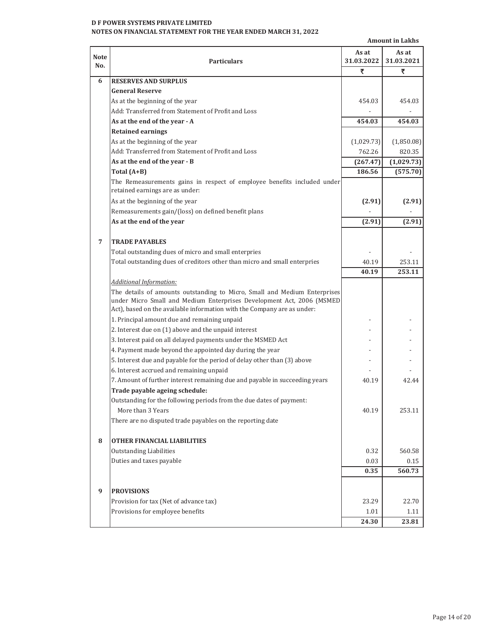### **D F POWER SYSTEMS PRIVATE LIMITED NOTES ON FINANCIAL STATEMENT FOR THE YEAR ENDED MARCH 31, 2022**

|                    | <b>Amount in Lakhs</b>                                                                                                                                                                                                        |                     |                     |  |  |
|--------------------|-------------------------------------------------------------------------------------------------------------------------------------------------------------------------------------------------------------------------------|---------------------|---------------------|--|--|
| <b>Note</b><br>No. | <b>Particulars</b>                                                                                                                                                                                                            | As at<br>31.03.2022 | As at<br>31.03.2021 |  |  |
|                    |                                                                                                                                                                                                                               | ₹                   | ₹                   |  |  |
| 6                  | <b>RESERVES AND SURPLUS</b>                                                                                                                                                                                                   |                     |                     |  |  |
|                    | <b>General Reserve</b>                                                                                                                                                                                                        |                     |                     |  |  |
|                    | As at the beginning of the year                                                                                                                                                                                               | 454.03              | 454.03              |  |  |
|                    | Add: Transferred from Statement of Profit and Loss                                                                                                                                                                            |                     |                     |  |  |
|                    | As at the end of the year - A                                                                                                                                                                                                 | 454.03              | 454.03              |  |  |
|                    | <b>Retained earnings</b>                                                                                                                                                                                                      |                     |                     |  |  |
|                    | As at the beginning of the year                                                                                                                                                                                               | (1,029.73)          | (1,850.08)          |  |  |
|                    | Add: Transferred from Statement of Profit and Loss                                                                                                                                                                            | 762.26              | 820.35              |  |  |
|                    | As at the end of the year - B                                                                                                                                                                                                 | (267.47)            | (1,029.73)          |  |  |
|                    | Total $(A+B)$                                                                                                                                                                                                                 | 186.56              | (575.70)            |  |  |
|                    | The Remeasurements gains in respect of employee benefits included under<br>retained earnings are as under:                                                                                                                    |                     |                     |  |  |
|                    | As at the beginning of the year                                                                                                                                                                                               | (2.91)              | (2.91)              |  |  |
|                    | Remeasurements gain/(loss) on defined benefit plans                                                                                                                                                                           |                     |                     |  |  |
|                    | As at the end of the year                                                                                                                                                                                                     | (2.91)              | (2.91)              |  |  |
|                    |                                                                                                                                                                                                                               |                     |                     |  |  |
| 7                  | <b>TRADE PAYABLES</b>                                                                                                                                                                                                         |                     |                     |  |  |
|                    | Total outstanding dues of micro and small enterpries                                                                                                                                                                          |                     |                     |  |  |
|                    | Total outstanding dues of creditors other than micro and small enterpries                                                                                                                                                     | 40.19               | 253.11              |  |  |
|                    |                                                                                                                                                                                                                               | 40.19               | 253.11              |  |  |
|                    | <b>Additional Information:</b>                                                                                                                                                                                                |                     |                     |  |  |
|                    | The details of amounts outstanding to Micro, Small and Medium Enterprises<br>under Micro Small and Medium Enterprises Development Act, 2006 (MSMED<br>Act), based on the available information with the Company are as under: |                     |                     |  |  |
|                    | 1. Principal amount due and remaining unpaid                                                                                                                                                                                  |                     |                     |  |  |
|                    | 2. Interest due on (1) above and the unpaid interest                                                                                                                                                                          |                     |                     |  |  |
|                    | 3. Interest paid on all delayed payments under the MSMED Act                                                                                                                                                                  |                     |                     |  |  |
|                    | 4. Payment made beyond the appointed day during the year                                                                                                                                                                      |                     |                     |  |  |
|                    | 5. Interest due and payable for the period of delay other than (3) above                                                                                                                                                      |                     |                     |  |  |
|                    | 6. Interest accrued and remaining unpaid                                                                                                                                                                                      |                     |                     |  |  |
|                    | 7. Amount of further interest remaining due and payable in succeeding years                                                                                                                                                   | 40.19               | 42.44               |  |  |
|                    | Trade payable ageing schedule:                                                                                                                                                                                                |                     |                     |  |  |
|                    | Outstanding for the following periods from the due dates of payment:                                                                                                                                                          |                     |                     |  |  |
|                    | More than 3 Years                                                                                                                                                                                                             | 40.19               | 253.11              |  |  |
|                    | There are no disputed trade payables on the reporting date                                                                                                                                                                    |                     |                     |  |  |
| 8                  | <b>OTHER FINANCIAL LIABILITIES</b>                                                                                                                                                                                            |                     |                     |  |  |
|                    | <b>Outstanding Liabilities</b>                                                                                                                                                                                                | 0.32                | 560.58              |  |  |
|                    | Duties and taxes payable                                                                                                                                                                                                      | 0.03                | 0.15                |  |  |
|                    |                                                                                                                                                                                                                               | 0.35                | 560.73              |  |  |
| 9                  | <b>PROVISIONS</b>                                                                                                                                                                                                             |                     |                     |  |  |
|                    | Provision for tax (Net of advance tax)                                                                                                                                                                                        | 23.29               | 22.70               |  |  |
|                    | Provisions for employee benefits                                                                                                                                                                                              | 1.01                | 1.11                |  |  |
|                    |                                                                                                                                                                                                                               | 24.30               | 23.81               |  |  |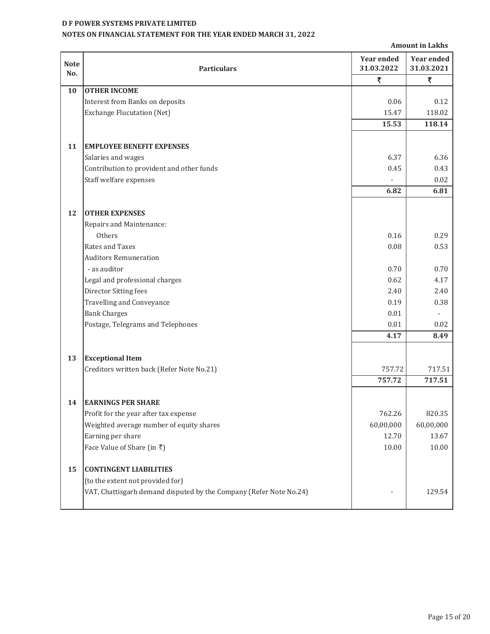# **NOTES ON FINANCIAL STATEMENT FOR THE YEAR ENDED MARCH 31, 2022**

|             |                                                                                   |                   | <b>Amount in Lakhs</b> |
|-------------|-----------------------------------------------------------------------------------|-------------------|------------------------|
| <b>Note</b> |                                                                                   | <b>Year ended</b> | <b>Year ended</b>      |
| No.         | <b>Particulars</b>                                                                | 31.03.2022        | 31.03.2021             |
|             |                                                                                   | ₹                 | ₹                      |
| 10          | <b>OTHER INCOME</b>                                                               |                   |                        |
|             | Interest from Banks on deposits                                                   | 0.06              | 0.12                   |
|             | <b>Exchange Flucutation (Net)</b>                                                 | 15.47             | 118.02                 |
|             |                                                                                   | 15.53             | 118.14                 |
|             |                                                                                   |                   |                        |
| 11          | <b>EMPLOYEE BENEFIT EXPENSES</b>                                                  |                   |                        |
|             | Salaries and wages                                                                | 6.37              | 6.36                   |
|             | Contribution to provident and other funds                                         | 0.45              | 0.43                   |
|             | Staff welfare expenses                                                            |                   | 0.02                   |
|             |                                                                                   | 6.82              | 6.81                   |
|             |                                                                                   |                   |                        |
| 12          | <b>OTHER EXPENSES</b>                                                             |                   |                        |
|             | Repairs and Maintenance:                                                          |                   |                        |
|             | Others                                                                            | 0.16              | 0.29                   |
|             | Rates and Taxes                                                                   | 0.08              | 0.53                   |
|             | <b>Auditors Remuneration</b>                                                      |                   |                        |
|             | - as auditor                                                                      | 0.70              | 0.70                   |
|             | Legal and professional charges                                                    | 0.62              | 4.17                   |
|             | Director Sitting fees                                                             | 2.40              | 2.40                   |
|             | <b>Travelling and Conveyance</b>                                                  | 0.19              | 0.38                   |
|             | <b>Bank Charges</b>                                                               | 0.01              |                        |
|             | Postage, Telegrams and Telephones                                                 | 0.01              | 0.02                   |
|             |                                                                                   | 4.17              | 8.49                   |
|             |                                                                                   |                   |                        |
| 13          | <b>Exceptional Item</b>                                                           |                   |                        |
|             | Creditors written back (Refer Note No.21)                                         | 757.72            | 717.51                 |
|             |                                                                                   | 757.72            | 717.51                 |
|             |                                                                                   |                   |                        |
| 14          | <b>EARNINGS PER SHARE</b>                                                         | 762.26            | 820.35                 |
|             | Profit for the year after tax expense<br>Weighted average number of equity shares |                   |                        |
|             | Earning per share                                                                 | 60,00,000         | 60,00,000              |
|             |                                                                                   | 12.70             | 13.67                  |
|             | Face Value of Share (in ₹)                                                        | 10.00             | 10.00                  |
| 15          | <b>CONTINGENT LIABILITIES</b>                                                     |                   |                        |
|             | (to the extent not provided for)                                                  |                   |                        |
|             | VAT, Chattisgarh demand disputed by the Company (Refer Note No.24)                |                   | 129.54                 |
|             |                                                                                   |                   |                        |
|             |                                                                                   |                   |                        |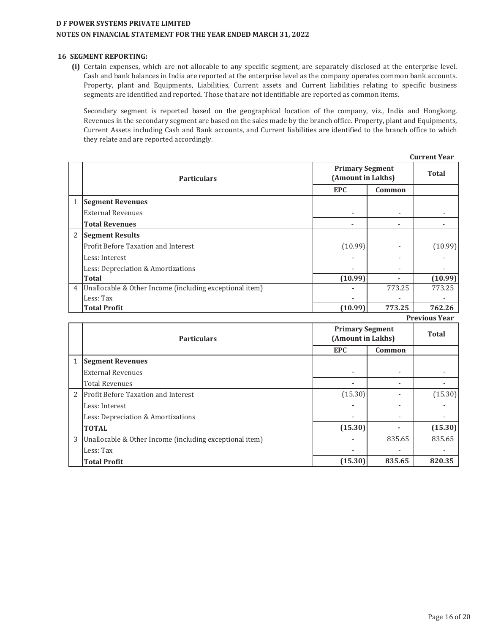# **D F POWER SYSTEMS PRIVATE LIMITED NOTES ON FINANCIAL STATEMENT FOR THE YEAR ENDED MARCH 31, 2022**

#### **16 SEGMENT REPORTING:**

**(i)** Certain expenses, which are not allocable to any specific segment, are separately disclosed at the enterprise level. Cash and bank balances in India are reported at the enterprise level as the company operates common bank accounts. Property, plant and Equipments, Liabilities, Current assets and Current liabilities relating to specific business segments are identified and reported. Those that are not identifiable are reported as common items.

Secondary segment is reported based on the geographical location of the company, viz., India and Hongkong. Revenues in the secondary segment are based on the sales made by the branch office. Property, plant and Equipments, Current Assets including Cash and Bank accounts, and Current liabilities are identified to the branch office to which they relate and are reported accordingly.

|                |                                                         |                                             |              | <b>Current Year</b>  |
|----------------|---------------------------------------------------------|---------------------------------------------|--------------|----------------------|
|                | <b>Particulars</b>                                      | <b>Primary Segment</b><br>(Amount in Lakhs) | <b>Total</b> |                      |
|                |                                                         | <b>EPC</b>                                  | Common       |                      |
| 1              | <b>Segment Revenues</b>                                 |                                             |              |                      |
|                | <b>External Revenues</b>                                |                                             |              |                      |
|                | <b>Total Revenues</b>                                   | $\blacksquare$                              |              |                      |
| 2              | <b>Segment Results</b>                                  |                                             |              |                      |
|                | Profit Before Taxation and Interest                     | (10.99)                                     |              | (10.99)              |
|                | Less: Interest                                          |                                             |              |                      |
|                | Less: Depreciation & Amortizations                      |                                             |              |                      |
|                | <b>Total</b>                                            | (10.99)                                     |              | (10.99)              |
| $\overline{4}$ | Unallocable & Other Income (including exceptional item) |                                             | 773.25       | 773.25               |
|                | Less: Tax                                               |                                             |              |                      |
|                | <b>Total Profit</b>                                     | (10.99)                                     | 773.25       | 762.26               |
|                |                                                         |                                             |              | <b>Previous Year</b> |
|                |                                                         | <b>Primary Segment</b>                      | <b>Total</b> |                      |
|                | <b>Particulars</b>                                      | (Amount in Lakhs)                           |              |                      |
|                |                                                         | <b>EPC</b>                                  | Common       |                      |
| $\mathbf{1}$   | <b>Segment Revenues</b>                                 |                                             |              |                      |
|                | <b>External Revenues</b>                                |                                             |              |                      |
|                | <b>Total Revenues</b>                                   |                                             |              |                      |
| $\overline{2}$ | Profit Before Taxation and Interest                     | (15.30)                                     |              | (15.30)              |
|                | Less: Interest                                          |                                             |              |                      |
|                | Less: Depreciation & Amortizations                      |                                             |              |                      |
|                | <b>TOTAL</b>                                            | (15.30)                                     |              | (15.30)              |
| 3              | Unallocable & Other Income (including exceptional item) |                                             | 835.65       | 835.65               |
|                | Less: Tax                                               |                                             |              |                      |
|                | <b>Total Profit</b>                                     | (15.30)                                     | 835.65       | 820.35               |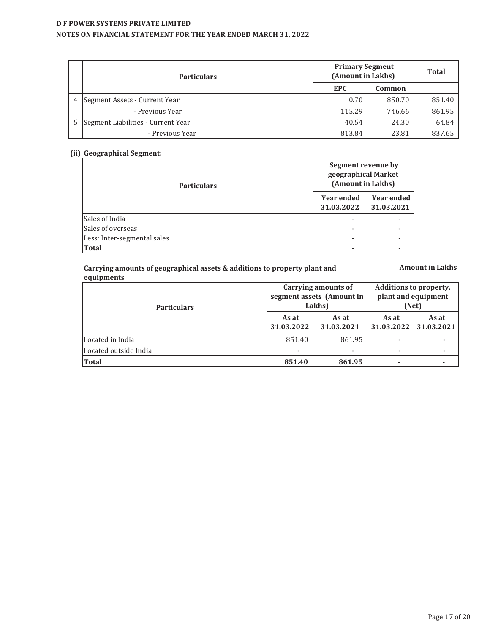# **D F POWER SYSTEMS PRIVATE LIMITED NOTES ON FINANCIAL STATEMENT FOR THE YEAR ENDED MARCH 31, 2022**

|   | <b>Particulars</b>                 | <b>Primary Segment</b><br>(Amount in Lakhs) | <b>Total</b> |        |
|---|------------------------------------|---------------------------------------------|--------------|--------|
|   |                                    | <b>EPC</b>                                  | Common       |        |
| 4 | Segment Assets - Current Year      | 0.70                                        | 850.70       | 851.40 |
|   | - Previous Year                    | 115.29                                      | 746.66       | 861.95 |
|   | Segment Liabilities - Current Year | 40.54                                       | 24.30        | 64.84  |
|   | - Previous Year                    | 813.84                                      | 23.81        | 837.65 |

# **(ii) Geographical Segment:**

| <b>Particulars</b>          | Segment revenue by<br>geographical Market<br>(Amount in Lakhs) |                                 |  |
|-----------------------------|----------------------------------------------------------------|---------------------------------|--|
|                             | <b>Year ended</b><br>31.03.2022                                | <b>Year ended</b><br>31.03.2021 |  |
| Sales of India              |                                                                |                                 |  |
| Sales of overseas           | -                                                              |                                 |  |
| Less: Inter-segmental sales |                                                                |                                 |  |
| <b>Total</b>                |                                                                |                                 |  |

#### **Carrying amounts of geographical assets & additions to property plant and equipments**

**Amount in Lakhs**

| <b>Particulars</b>    |                     | Carrying amounts of<br>segment assets (Amount in<br>Lakhs) | Additions to property,<br>plant and equipment<br>(Net) |                     |  |
|-----------------------|---------------------|------------------------------------------------------------|--------------------------------------------------------|---------------------|--|
|                       | As at<br>31.03.2022 | As at<br>31.03.2021                                        | As at<br>31.03.2022                                    | As at<br>31.03.2021 |  |
| Located in India      | 851.40              | 861.95                                                     |                                                        |                     |  |
| Located outside India |                     |                                                            |                                                        |                     |  |
| <b>Total</b>          | 851.40              | 861.95                                                     |                                                        |                     |  |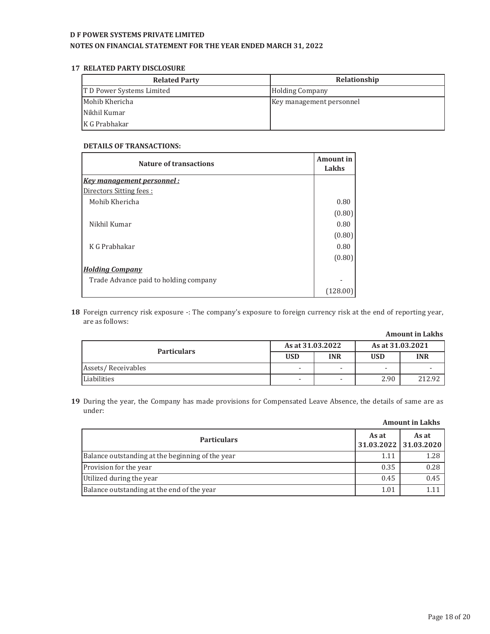#### **NOTES ON FINANCIAL STATEMENT FOR THE YEAR ENDED MARCH 31, 2022**

#### **17 RELATED PARTY DISCLOSURE**

| <b>Related Party</b>      | Relationship             |
|---------------------------|--------------------------|
| T D Power Systems Limited | <b>Holding Company</b>   |
| Mohib Khericha            | Key management personnel |
| Nikhil Kumar              |                          |
| K G Prabhakar             |                          |

#### **DETAILS OF TRANSACTIONS:**

| Nature of transactions                | <b>Amount in</b><br>Lakhs |
|---------------------------------------|---------------------------|
| <b>Key management personnel:</b>      |                           |
| Directors Sitting fees:               |                           |
| Mohib Khericha                        | 0.80                      |
|                                       | (0.80)                    |
| Nikhil Kumar                          | 0.80                      |
|                                       | (0.80)                    |
| K G Prabhakar                         | 0.80                      |
|                                       | (0.80)                    |
| <b>Holding Company</b>                |                           |
| Trade Advance paid to holding company |                           |
|                                       | (128.0                    |

**18** Foreign currency risk exposure -: The company's exposure to foreign currency risk at the end of reporting year, are as follows:

| <b>Amount in Lakhs</b> |
|------------------------|
| As at 31.03.2021       |

| <b>Particulars</b> | As at 31.03.2022         |                          | As at 31.03.2021         |            |  |
|--------------------|--------------------------|--------------------------|--------------------------|------------|--|
|                    | <b>USD</b>               | <b>INR</b>               | <b>USD</b>               | <b>INR</b> |  |
| Assets/Receivables | $\overline{\phantom{0}}$ | $\overline{\phantom{a}}$ | $\overline{\phantom{0}}$ |            |  |
| Liabilities        | $\overline{\phantom{a}}$ | $\overline{\phantom{0}}$ | 2.90                     | 212.92     |  |

**19** During the year, the Company has made provisions for Compensated Leave Absence, the details of same are as under:

| <b>Particulars</b>                               | As at<br>31.03.2022 31.03.2020 | As at |
|--------------------------------------------------|--------------------------------|-------|
| Balance outstanding at the beginning of the year | 1.11                           | 1.28  |
| Provision for the year                           | 0.35                           | 0.28  |
| Utilized during the year                         | 0.45                           | 0.45  |
| Balance outstanding at the end of the year       | 1.01                           |       |

# **Amount in Lakhs**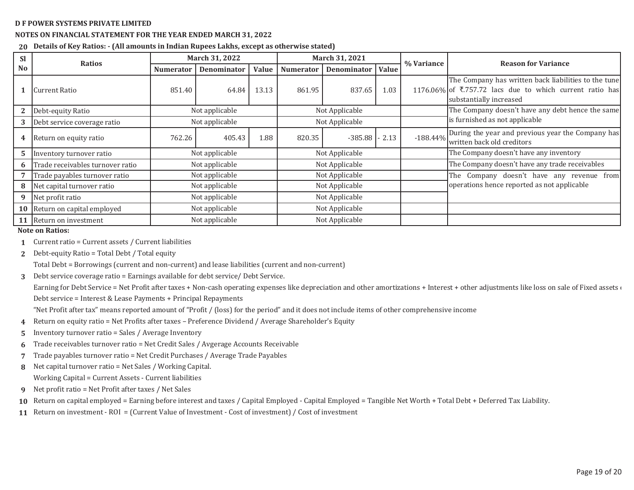#### **NOTES ON FINANCIAL STATEMENT FOR THE YEAR ENDED MARCH 31, 2022**

**20 Details of Key Ratios: - (All amounts in Indian Rupees Lakhs, except as otherwise stated)**

| <b>Sl</b> | <b>Ratios</b>                        | March 31, 2022   |                |       |                  | March 31, 2021     |       | % Variance | <b>Reason for Variance</b>                                                                                                                  |
|-----------|--------------------------------------|------------------|----------------|-------|------------------|--------------------|-------|------------|---------------------------------------------------------------------------------------------------------------------------------------------|
| <b>No</b> |                                      | <b>Numerator</b> | Denominator    | Value | <b>Numerator</b> | <b>Denominator</b> | Value |            |                                                                                                                                             |
|           | Current Ratio                        | 851.40           | 64.84          | 13.13 | 861.95           | 837.65             | 1.03  |            | The Company has written back liabilities to the tune<br>1176.06% of ₹.757.72 lacs due to which current ratio has<br>substantially increased |
|           | Debt-equity Ratio                    |                  | Not applicable |       |                  | Not Applicable     |       |            | The Company doesn't have any debt hence the same                                                                                            |
| 3         | Debt service coverage ratio          |                  | Not applicable |       |                  | Not Applicable     |       |            | is furnished as not applicable                                                                                                              |
|           | 4 Return on equity ratio             | 762.26           | 405.43         | 1.88  | 820.35           | $-385.88$          | 2.13  | $-188.44%$ | During the year and previous year the Company has<br>written back old creditors                                                             |
| 5.        | Inventory turnover ratio             |                  | Not applicable |       |                  | Not Applicable     |       |            | The Company doesn't have any inventory                                                                                                      |
| 6         | Trade receivables turnover ratio     |                  | Not applicable |       |                  | Not Applicable     |       |            | The Company doesn't have any trade receivables                                                                                              |
|           | Trade payables turnover ratio        |                  | Not applicable |       |                  | Not Applicable     |       |            | The Company doesn't have any revenue from                                                                                                   |
| 8         | Net capital turnover ratio           |                  | Not applicable |       |                  | Not Applicable     |       |            | operations hence reported as not applicable                                                                                                 |
| 9         | Net profit ratio                     |                  | Not applicable |       |                  | Not Applicable     |       |            |                                                                                                                                             |
|           | <b>10</b> Return on capital employed |                  | Not applicable |       |                  | Not Applicable     |       |            |                                                                                                                                             |
|           | 11 Return on investment              |                  | Not applicable |       |                  | Not Applicable     |       |            |                                                                                                                                             |

**Note on Ratios:**

- **1**Current ratio = Current assets / Current liabilities
- **2**Debt-equity Ratio = Total Debt / Total equity

Total Debt = Borrowings (current and non-current) and lease liabilities (current and non-current)

**3**Debt service coverage ratio = Earnings available for debt service/ Debt Service.

Earning for Debt Service = Net Profit after taxes + Non-cash operating expenses like depreciation and other amortizations + Interest + other adjustments like loss on sale of Fixed assets  $\epsilon$ Debt service = Interest & Lease Payments + Principal Repayments

"Net Profit after tax" means reported amount of "Profit / (loss) for the period" and it does not include items of other comprehensive income

- **4**Return on equity ratio = Net Profits after taxes - Preference Dividend / Average Shareholder's Equity
- **5**Inventory turnover ratio = Sales / Average Inventory
- **6**Trade receivables turnover ratio = Net Credit Sales / Avgerage Accounts Receivable
- **7**Trade payables turnover ratio = Net Credit Purchases / Average Trade Payables
- **8**Net capital turnover ratio = Net Sales / Working Capital. Working Capital = Current Assets - Current liabilities
- **9**Net profit ratio = Net Profit after taxes / Net Sales
- **10**Return on capital employed = Earning before interest and taxes / Capital Employed - Capital Employed = Tangible Net Worth + Total Debt + Deferred Tax Liability.
- **11** Return on investment ROI = (Current Value of Investment Cost of investment) / Cost of investment